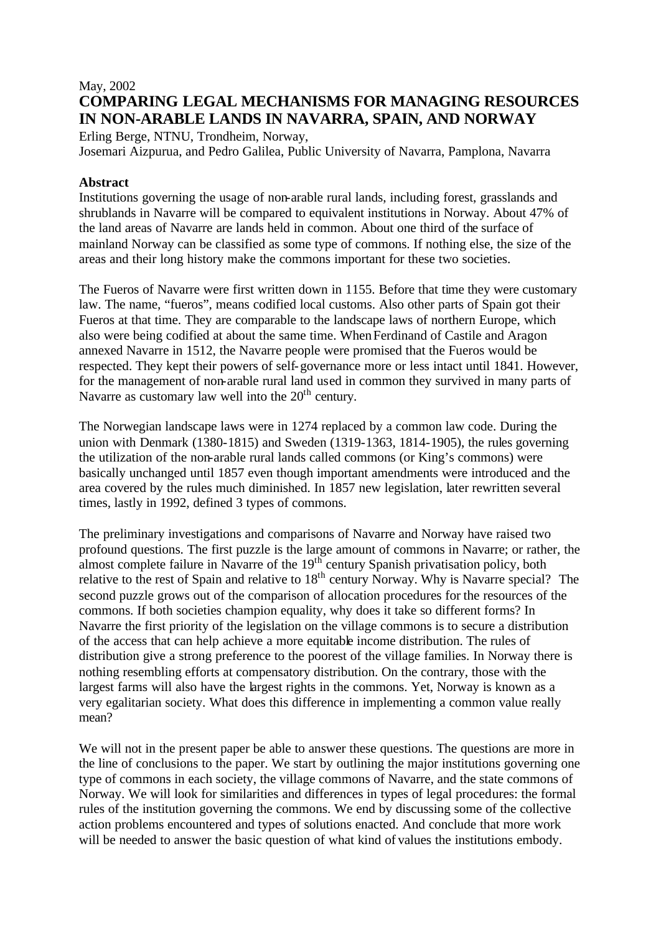# May, 2002 **COMPARING LEGAL MECHANISMS FOR MANAGING RESOURCES IN NON-ARABLE LANDS IN NAVARRA, SPAIN, AND NORWAY**

Erling Berge, NTNU, Trondheim, Norway, Josemari Aizpurua, and Pedro Galilea, Public University of Navarra, Pamplona, Navarra

## **Abstract**

Institutions governing the usage of non-arable rural lands, including forest, grasslands and shrublands in Navarre will be compared to equivalent institutions in Norway. About 47% of the land areas of Navarre are lands held in common. About one third of the surface of mainland Norway can be classified as some type of commons. If nothing else, the size of the areas and their long history make the commons important for these two societies.

The Fueros of Navarre were first written down in 1155. Before that time they were customary law. The name, "fueros", means codified local customs. Also other parts of Spain got their Fueros at that time. They are comparable to the landscape laws of northern Europe, which also were being codified at about the same time. When Ferdinand of Castile and Aragon annexed Navarre in 1512, the Navarre people were promised that the Fueros would be respected. They kept their powers of self-governance more or less intact until 1841. However, for the management of non-arable rural land used in common they survived in many parts of Navarre as customary law well into the  $20<sup>th</sup>$  century.

The Norwegian landscape laws were in 1274 replaced by a common law code. During the union with Denmark (1380-1815) and Sweden (1319-1363, 1814-1905), the rules governing the utilization of the non-arable rural lands called commons (or King's commons) were basically unchanged until 1857 even though important amendments were introduced and the area covered by the rules much diminished. In 1857 new legislation, later rewritten several times, lastly in 1992, defined 3 types of commons.

The preliminary investigations and comparisons of Navarre and Norway have raised two profound questions. The first puzzle is the large amount of commons in Navarre; or rather, the almost complete failure in Navarre of the 19<sup>th</sup> century Spanish privatisation policy, both relative to the rest of Spain and relative to  $18<sup>th</sup>$  century Norway. Why is Navarre special? The second puzzle grows out of the comparison of allocation procedures for the resources of the commons. If both societies champion equality, why does it take so different forms? In Navarre the first priority of the legislation on the village commons is to secure a distribution of the access that can help achieve a more equitable income distribution. The rules of distribution give a strong preference to the poorest of the village families. In Norway there is nothing resembling efforts at compensatory distribution. On the contrary, those with the largest farms will also have the largest rights in the commons. Yet, Norway is known as a very egalitarian society. What does this difference in implementing a common value really mean?

We will not in the present paper be able to answer these questions. The questions are more in the line of conclusions to the paper. We start by outlining the major institutions governing one type of commons in each society, the village commons of Navarre, and the state commons of Norway. We will look for similarities and differences in types of legal procedures: the formal rules of the institution governing the commons. We end by discussing some of the collective action problems encountered and types of solutions enacted. And conclude that more work will be needed to answer the basic question of what kind of values the institutions embody.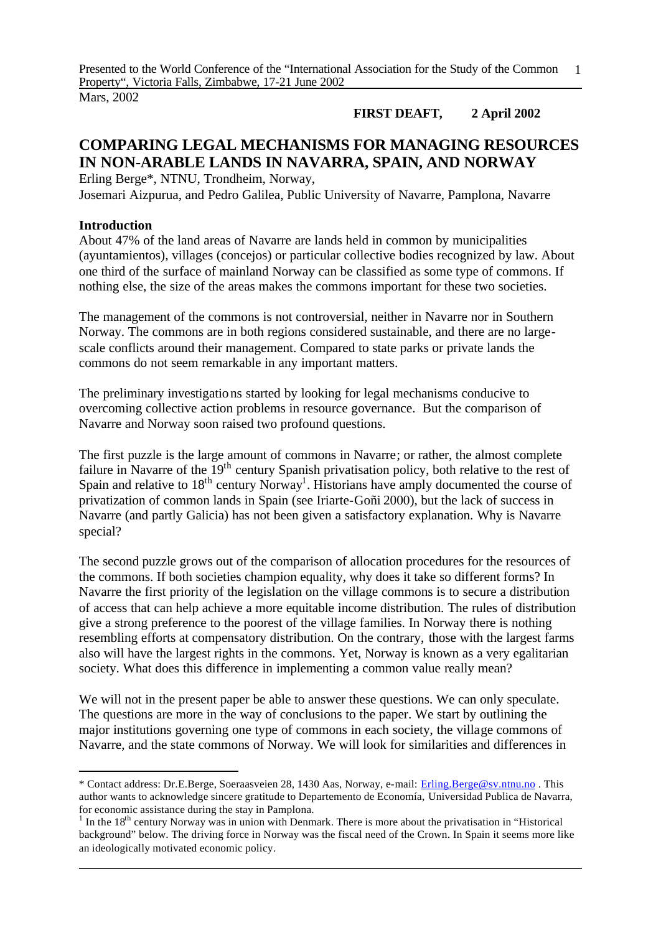Mars, 2002

## **FIRST DEAFT, 2 April 2002**

# **COMPARING LEGAL MECHANISMS FOR MANAGING RESOURCES IN NON-ARABLE LANDS IN NAVARRA, SPAIN, AND NORWAY**

Erling Berge\*, NTNU, Trondheim, Norway, Josemari Aizpurua, and Pedro Galilea, Public University of Navarre, Pamplona, Navarre

## **Introduction**

l

About 47% of the land areas of Navarre are lands held in common by municipalities (ayuntamientos), villages (concejos) or particular collective bodies recognized by law. About one third of the surface of mainland Norway can be classified as some type of commons. If nothing else, the size of the areas makes the commons important for these two societies.

The management of the commons is not controversial, neither in Navarre nor in Southern Norway. The commons are in both regions considered sustainable, and there are no largescale conflicts around their management. Compared to state parks or private lands the commons do not seem remarkable in any important matters.

The preliminary investigations started by looking for legal mechanisms conducive to overcoming collective action problems in resource governance. But the comparison of Navarre and Norway soon raised two profound questions.

The first puzzle is the large amount of commons in Navarre; or rather, the almost complete failure in Navarre of the 19<sup>th</sup> century Spanish privatisation policy, both relative to the rest of Spain and relative to  $18<sup>th</sup>$  century Norway<sup>1</sup>. Historians have amply documented the course of privatization of common lands in Spain (see Iriarte-Goñi 2000), but the lack of success in Navarre (and partly Galicia) has not been given a satisfactory explanation. Why is Navarre special?

The second puzzle grows out of the comparison of allocation procedures for the resources of the commons. If both societies champion equality, why does it take so different forms? In Navarre the first priority of the legislation on the village commons is to secure a distribution of access that can help achieve a more equitable income distribution. The rules of distribution give a strong preference to the poorest of the village families. In Norway there is nothing resembling efforts at compensatory distribution. On the contrary, those with the largest farms also will have the largest rights in the commons. Yet, Norway is known as a very egalitarian society. What does this difference in implementing a common value really mean?

We will not in the present paper be able to answer these questions. We can only speculate. The questions are more in the way of conclusions to the paper. We start by outlining the major institutions governing one type of commons in each society, the village commons of Navarre, and the state commons of Norway. We will look for similarities and differences in

<sup>\*</sup> Contact address: Dr.E.Berge, Soeraasveien 28, 1430 Aas, Norway, e-mail: Erling.Berge@sv.ntnu.no . This author wants to acknowledge sincere gratitude to Departemento de Economía, Universidad Publica de Navarra, for economic assistance during the stay in Pamplona.

<sup>&</sup>lt;sup>1</sup> In the 18<sup>th</sup> century Norway was in union with Denmark. There is more about the privatisation in "Historical" background" below. The driving force in Norway was the fiscal need of the Crown. In Spain it seems more like an ideologically motivated economic policy.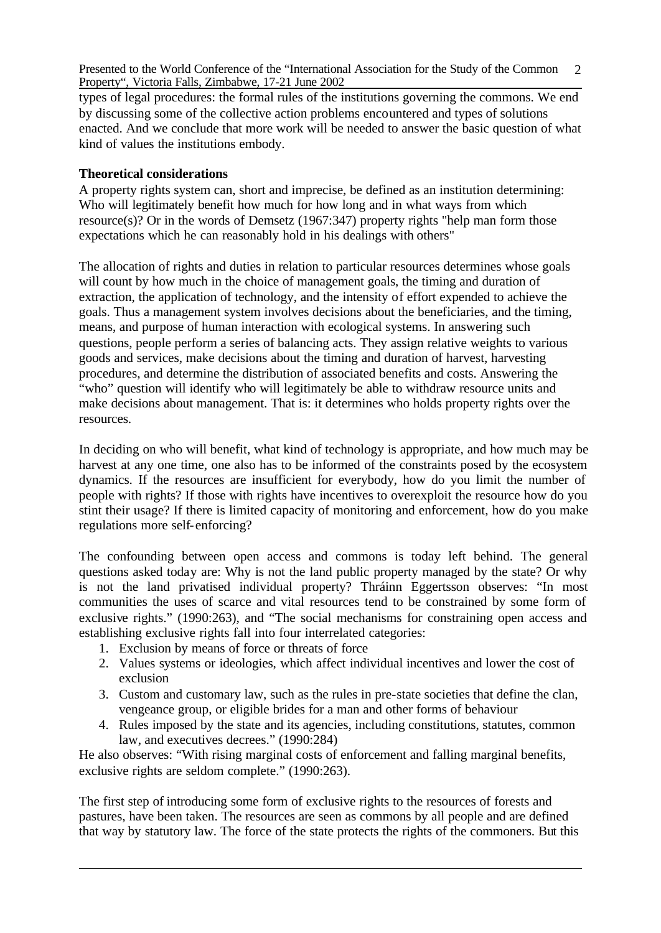types of legal procedures: the formal rules of the institutions governing the commons. We end by discussing some of the collective action problems encountered and types of solutions enacted. And we conclude that more work will be needed to answer the basic question of what kind of values the institutions embody.

## **Theoretical considerations**

A property rights system can, short and imprecise, be defined as an institution determining: Who will legitimately benefit how much for how long and in what ways from which resource(s)? Or in the words of Demsetz (1967:347) property rights "help man form those expectations which he can reasonably hold in his dealings with others"

The allocation of rights and duties in relation to particular resources determines whose goals will count by how much in the choice of management goals, the timing and duration of extraction, the application of technology, and the intensity of effort expended to achieve the goals. Thus a management system involves decisions about the beneficiaries, and the timing, means, and purpose of human interaction with ecological systems. In answering such questions, people perform a series of balancing acts. They assign relative weights to various goods and services, make decisions about the timing and duration of harvest, harvesting procedures, and determine the distribution of associated benefits and costs. Answering the "who" question will identify who will legitimately be able to withdraw resource units and make decisions about management. That is: it determines who holds property rights over the resources.

In deciding on who will benefit, what kind of technology is appropriate, and how much may be harvest at any one time, one also has to be informed of the constraints posed by the ecosystem dynamics. If the resources are insufficient for everybody, how do you limit the number of people with rights? If those with rights have incentives to overexploit the resource how do you stint their usage? If there is limited capacity of monitoring and enforcement, how do you make regulations more self-enforcing?

The confounding between open access and commons is today left behind. The general questions asked today are: Why is not the land public property managed by the state? Or why is not the land privatised individual property? Thráinn Eggertsson observes: "In most communities the uses of scarce and vital resources tend to be constrained by some form of exclusive rights." (1990:263), and "The social mechanisms for constraining open access and establishing exclusive rights fall into four interrelated categories:

- 1. Exclusion by means of force or threats of force
- 2. Values systems or ideologies, which affect individual incentives and lower the cost of exclusion
- 3. Custom and customary law, such as the rules in pre-state societies that define the clan, vengeance group, or eligible brides for a man and other forms of behaviour
- 4. Rules imposed by the state and its agencies, including constitutions, statutes, common law, and executives decrees." (1990:284)

He also observes: "With rising marginal costs of enforcement and falling marginal benefits, exclusive rights are seldom complete." (1990:263).

The first step of introducing some form of exclusive rights to the resources of forests and pastures, have been taken. The resources are seen as commons by all people and are defined that way by statutory law. The force of the state protects the rights of the commoners. But this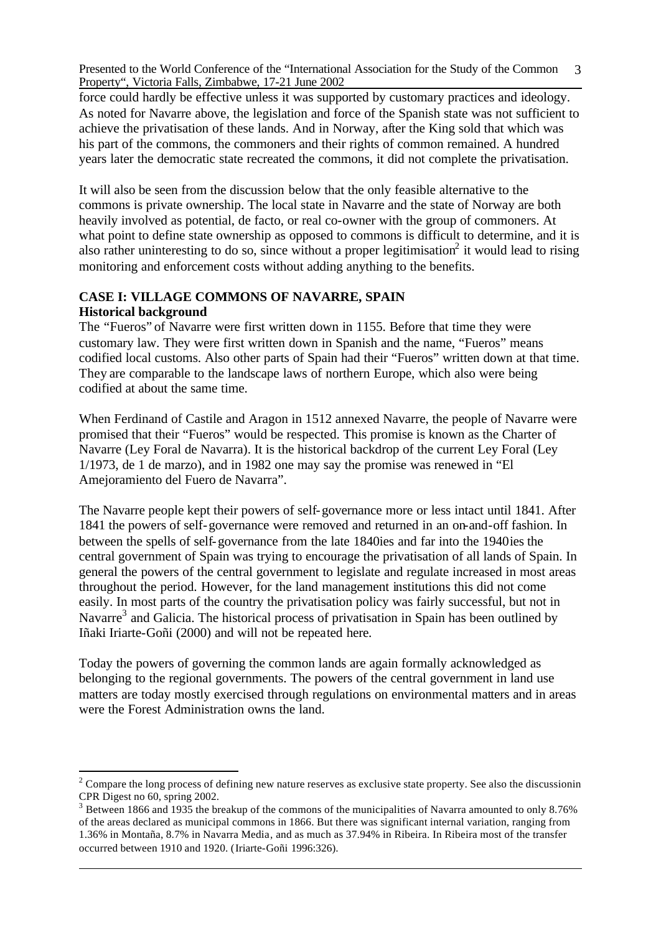force could hardly be effective unless it was supported by customary practices and ideology. As noted for Navarre above, the legislation and force of the Spanish state was not sufficient to achieve the privatisation of these lands. And in Norway, after the King sold that which was his part of the commons, the commoners and their rights of common remained. A hundred years later the democratic state recreated the commons, it did not complete the privatisation.

It will also be seen from the discussion below that the only feasible alternative to the commons is private ownership. The local state in Navarre and the state of Norway are both heavily involved as potential, de facto, or real co-owner with the group of commoners. At what point to define state ownership as opposed to commons is difficult to determine, and it is also rather uninteresting to do so, since without a proper legitimisation<sup>2</sup> it would lead to rising monitoring and enforcement costs without adding anything to the benefits.

#### **CASE I: VILLAGE COMMONS OF NAVARRE, SPAIN Historical background**

The "Fueros" of Navarre were first written down in 1155. Before that time they were customary law. They were first written down in Spanish and the name, "Fueros" means codified local customs. Also other parts of Spain had their "Fueros" written down at that time. They are comparable to the landscape laws of northern Europe, which also were being codified at about the same time.

When Ferdinand of Castile and Aragon in 1512 annexed Navarre, the people of Navarre were promised that their "Fueros" would be respected. This promise is known as the Charter of Navarre (Ley Foral de Navarra). It is the historical backdrop of the current Ley Foral (Ley 1/1973, de 1 de marzo), and in 1982 one may say the promise was renewed in "El Amejoramiento del Fuero de Navarra".

The Navarre people kept their powers of self-governance more or less intact until 1841. After 1841 the powers of self-governance were removed and returned in an on-and-off fashion. In between the spells of self-governance from the late 1840ies and far into the 1940ies the central government of Spain was trying to encourage the privatisation of all lands of Spain. In general the powers of the central government to legislate and regulate increased in most areas throughout the period. However, for the land management institutions this did not come easily. In most parts of the country the privatisation policy was fairly successful, but not in Navarre<sup>3</sup> and Galicia. The historical process of privatisation in Spain has been outlined by Iñaki Iriarte-Goñi (2000) and will not be repeated here.

Today the powers of governing the common lands are again formally acknowledged as belonging to the regional governments. The powers of the central government in land use matters are today mostly exercised through regulations on environmental matters and in areas were the Forest Administration owns the land.

 $2^2$  Compare the long process of defining new nature reserves as exclusive state property. See also the discussionin CPR Digest no 60, spring 2002.

 $3$  Between 1866 and 1935 the breakup of the commons of the municipalities of Navarra amounted to only 8.76% of the areas declared as municipal commons in 1866. But there was significant internal variation, ranging from 1.36% in Montaña, 8.7% in Navarra Media, and as much as 37.94% in Ribeira. In Ribeira most of the transfer occurred between 1910 and 1920. (Iriarte-Goñi 1996:326).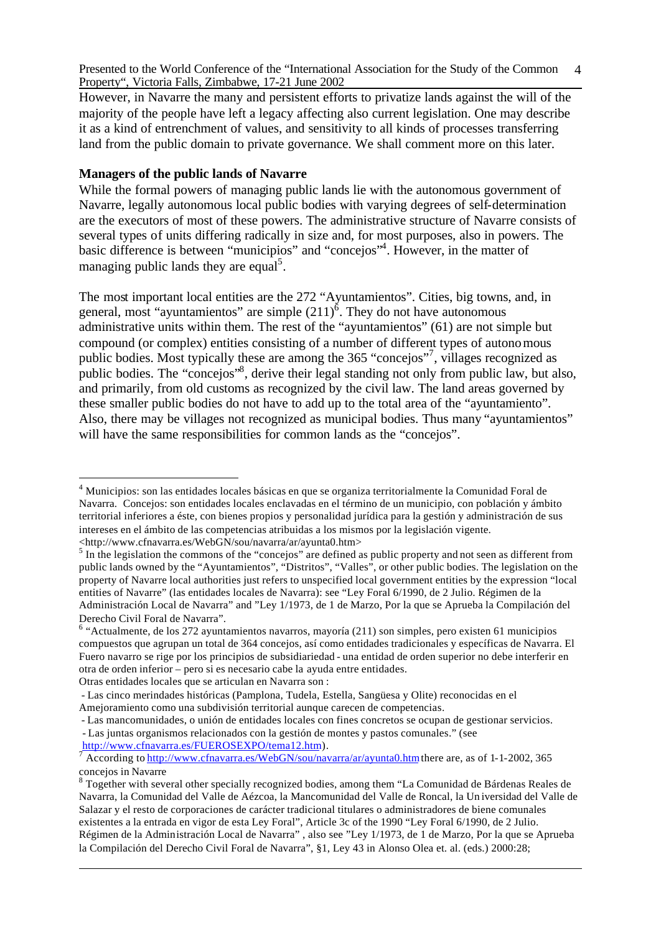However, in Navarre the many and persistent efforts to privatize lands against the will of the majority of the people have left a legacy affecting also current legislation. One may describe it as a kind of entrenchment of values, and sensitivity to all kinds of processes transferring land from the public domain to private governance. We shall comment more on this later.

## **Managers of the public lands of Navarre**

While the formal powers of managing public lands lie with the autonomous government of Navarre, legally autonomous local public bodies with varying degrees of self-determination are the executors of most of these powers. The administrative structure of Navarre consists of several types of units differing radically in size and, for most purposes, also in powers. The basic difference is between "municipios" and "concejos"<sup>4</sup> . However, in the matter of managing public lands they are equal<sup>5</sup>.

The most important local entities are the 272 "Ayuntamientos". Cities, big towns, and, in general, most "ayuntamientos" are simple  $(211)^6$ . They do not have autonomous administrative units within them. The rest of the "ayuntamientos" (61) are not simple but compound (or complex) entities consisting of a number of different types of autonomous public bodies. Most typically these are among the 365 "concejos"<sup>7</sup>, villages recognized as public bodies. The "concejos"<sup>8</sup>, derive their legal standing not only from public law, but also, and primarily, from old customs as recognized by the civil law. The land areas governed by these smaller public bodies do not have to add up to the total area of the "ayuntamiento". Also, there may be villages not recognized as municipal bodies. Thus many "ayuntamientos" will have the same responsibilities for common lands as the "concejos".

j

- Las juntas organismos relacionados con la gestión de montes y pastos comunales." (see http://www.cfnavarra.es/FUEROSEXPO/tema12.htm).

<sup>&</sup>lt;sup>4</sup> Municipios: son las entidades locales básicas en que se organiza territorialmente la Comunidad Foral de Navarra. Concejos: son entidades locales enclavadas en el término de un municipio, con población y ámbito territorial inferiores a éste, con bienes propios y personalidad jurídica para la gestión y administración de sus intereses en el ámbito de las competencias atribuidas a los mismos por la legislación vigente.

 $\langle$ http://www.cfnavarra.es/WebGN/sou/navarra/ar/ayunta0.htm><br>
<sup>5</sup> In the legislation the commons of the "concejos" are defined as public property and not seen as different from public lands owned by the "Ayuntamientos", "Distritos", "Valles", or other public bodies. The legislation on the property of Navarre local authorities just refers to unspecified local government entities by the expression "local entities of Navarre" (las entidades locales de Navarra): see "Ley Foral 6/1990, de 2 Julio. Régimen de la Administración Local de Navarra" and "Ley 1/1973, de 1 de Marzo, Por la que se Aprueba la Compilación del Derecho Civil Foral de Navarra".

 $6$  "Actualmente, de los 272 ayuntamientos navarros, mayoría (211) son simples, pero existen 61 municipios compuestos que agrupan un total de 364 concejos, así como entidades tradicionales y específicas de Navarra. El Fuero navarro se rige por los principios de subsidiariedad - una entidad de orden superior no debe interferir en otra de orden inferior – pero si es necesario cabe la ayuda entre entidades.

Otras entidades locales que se articulan en Navarra son :

<sup>-</sup> Las cinco merindades históricas (Pamplona, Tudela, Estella, Sangüesa y Olite) reconocidas en el Amejoramiento como una subdivisión territorial aunque carecen de competencias.

<sup>-</sup> Las mancomunidades, o unión de entidades locales con fines concretos se ocupan de gestionar servicios.

<sup>7</sup> According to http://www.cfnavarra.es/WebGN/sou/navarra/ar/ayunta0.htm there are, as of 1-1-2002, 365 concejos in Navarre

<sup>&</sup>lt;sup>8</sup> Together with several other specially recognized bodies, among them "La Comunidad de Bárdenas Reales de Navarra, la Comunidad del Valle de Aézcoa, la Mancomunidad del Valle de Roncal, la Un iversidad del Valle de Salazar y el resto de corporaciones de carácter tradicional titulares o administradores de biene comunales existentes a la entrada en vigor de esta Ley Foral", Article 3c of the 1990 "Ley Foral 6/1990, de 2 Julio. Régimen de la Administración Local de Navarra" , also see "Ley 1/1973, de 1 de Marzo, Por la que se Aprueba la Compilación del Derecho Civil Foral de Navarra", §1, Ley 43 in Alonso Olea et. al. (eds.) 2000:28;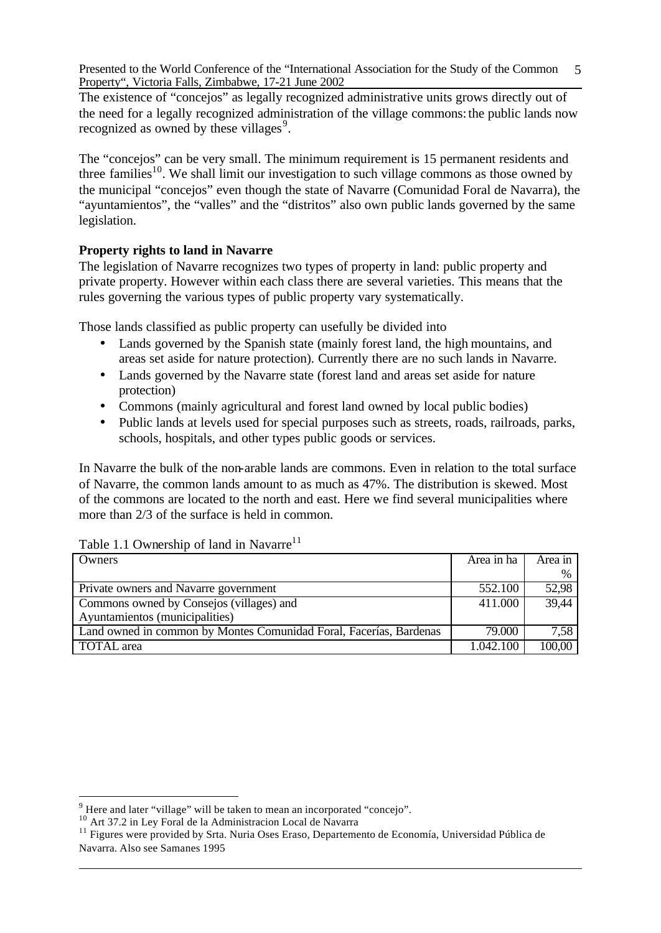The existence of "concejos" as legally recognized administrative units grows directly out of the need for a legally recognized administration of the village commons: the public lands now recognized as owned by these villages<sup>9</sup>.

The "concejos" can be very small. The minimum requirement is 15 permanent residents and three families<sup>10</sup>. We shall limit our investigation to such village commons as those owned by the municipal "concejos" even though the state of Navarre (Comunidad Foral de Navarra), the "ayuntamientos", the "valles" and the "distritos" also own public lands governed by the same legislation.

## **Property rights to land in Navarre**

The legislation of Navarre recognizes two types of property in land: public property and private property. However within each class there are several varieties. This means that the rules governing the various types of public property vary systematically.

Those lands classified as public property can usefully be divided into

- Lands governed by the Spanish state (mainly forest land, the high mountains, and areas set aside for nature protection). Currently there are no such lands in Navarre.
- Lands governed by the Navarre state (forest land and areas set aside for nature protection)
- Commons (mainly agricultural and forest land owned by local public bodies)
- Public lands at levels used for special purposes such as streets, roads, railroads, parks, schools, hospitals, and other types public goods or services.

In Navarre the bulk of the non-arable lands are commons. Even in relation to the total surface of Navarre, the common lands amount to as much as 47%. The distribution is skewed. Most of the commons are located to the north and east. Here we find several municipalities where more than 2/3 of the surface is held in common.

#### Table 1.1 Ownership of land in Navarre<sup>11</sup>

| Owners                                                             | Area in ha | Area in |
|--------------------------------------------------------------------|------------|---------|
|                                                                    |            | %       |
| Private owners and Navarre government                              | 552.100    | 52,98   |
| Commons owned by Consejos (villages) and                           | 411.000    | 39,44   |
| Ayuntamientos (municipalities)                                     |            |         |
| Land owned in common by Montes Comunidad Foral, Facerías, Bardenas | 79.000     | 7,58    |
| TOTAL area                                                         | 1.042.100  | 100,00  |

 $9$  Here and later "village" will be taken to mean an incorporated "concejo".

<sup>&</sup>lt;sup>10</sup> Art 37.2 in Ley Foral de la Administracion Local de Navarra

<sup>&</sup>lt;sup>11</sup> Figures were provided by Srta. Nuria Oses Eraso, Departemento de Economía, Universidad Pública de Navarra. Also see Samanes 1995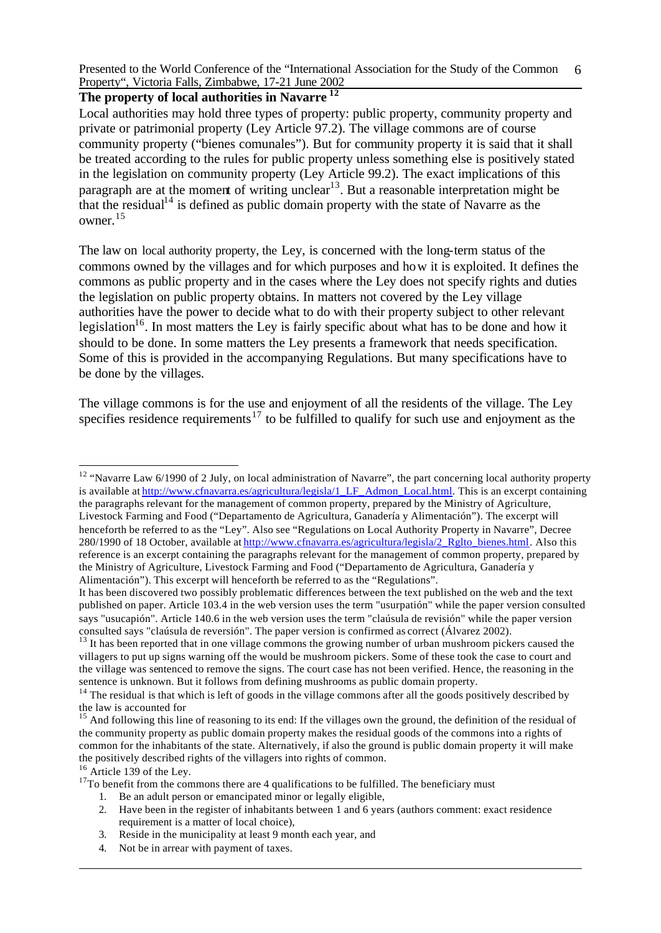## **The property of local authorities in Navarre <sup>12</sup>**

Local authorities may hold three types of property: public property, community property and private or patrimonial property (Ley Article 97.2). The village commons are of course community property ("bienes comunales"). But for community property it is said that it shall be treated according to the rules for public property unless something else is positively stated in the legislation on community property (Ley Article 99.2). The exact implications of this paragraph are at the moment of writing unclear<sup>13</sup>. But a reasonable interpretation might be that the residual<sup>14</sup> is defined as public domain property with the state of Navarre as the owner.<sup>15</sup>

The law on local authority property, the Ley, is concerned with the long-term status of the commons owned by the villages and for which purposes and how it is exploited. It defines the commons as public property and in the cases where the Ley does not specify rights and duties the legislation on public property obtains. In matters not covered by the Ley village authorities have the power to decide what to do with their property subject to other relevant legislation<sup>16</sup>. In most matters the Ley is fairly specific about what has to be done and how it should to be done. In some matters the Ley presents a framework that needs specification. Some of this is provided in the accompanying Regulations. But many specifications have to be done by the villages.

The village commons is for the use and enjoyment of all the residents of the village. The Ley specifies residence requirements<sup>17</sup> to be fulfilled to qualify for such use and enjoyment as the

<sup>12</sup> "Navarre Law 6/1990 of 2 July, on local administration of Navarre", the part concerning local authority property is available at http://www.cfnavarra.es/agricultura/legisla/1 LF Admon Local.html. This is an excerpt containing the paragraphs relevant for the management of common property, prepared by the Ministry of Agriculture, Livestock Farming and Food ("Departamento de Agricultura, Ganadería y Alimentación"). The excerpt will henceforth be referred to as the "Ley". Also see "Regulations on Local Authority Property in Navarre", Decree 280/1990 of 18 October, available at http://www.cfnavarra.es/agricultura/legisla/2\_Rglto\_bienes.html. Also this reference is an excerpt containing the paragraphs relevant for the management of common property, prepared by the Ministry of Agriculture, Livestock Farming and Food ("Departamento de Agricultura, Ganadería y Alimentación"). This excerpt will henceforth be referred to as the "Regulations".

j

 $17$ To benefit from the commons there are 4 qualifications to be fulfilled. The beneficiary must

- 1. Be an adult person or emancipated minor or legally eligible,
- 2. Have been in the register of inhabitants between 1 and 6 years (authors comment: exact residence requirement is a matter of local choice),
- 3. Reside in the municipality at least 9 month each year, and
- 4. Not be in arrear with payment of taxes.

It has been discovered two possibly problematic differences between the text published on the web and the text published on paper. Article 103.4 in the web version uses the term "usurpatión" while the paper version consulted says "usucapión". Article 140.6 in the web version uses the term "claúsula de revisión" while the paper version consulted says "claúsula de reversión". The paper version is confirmed as correct (Álvarez 2002).

 $13$  It has been reported that in one village commons the growing number of urban mushroom pickers caused the villagers to put up signs warning off the would be mushroom pickers. Some of these took the case to court and the village was sentenced to remove the signs. The court case has not been verified. Hence, the reasoning in the sentence is unknown. But it follows from defining mushrooms as public domain property.

 $14$  The residual is that which is left of goods in the village commons after all the goods positively described by the law is accounted for

<sup>&</sup>lt;sup>15</sup> And following this line of reasoning to its end: If the villages own the ground, the definition of the residual of the community property as public domain property makes the residual goods of the commons into a rights of common for the inhabitants of the state. Alternatively, if also the ground is public domain property it will make the positively described rights of the villagers into rights of common.

<sup>&</sup>lt;sup>16</sup> Article 139 of the Ley.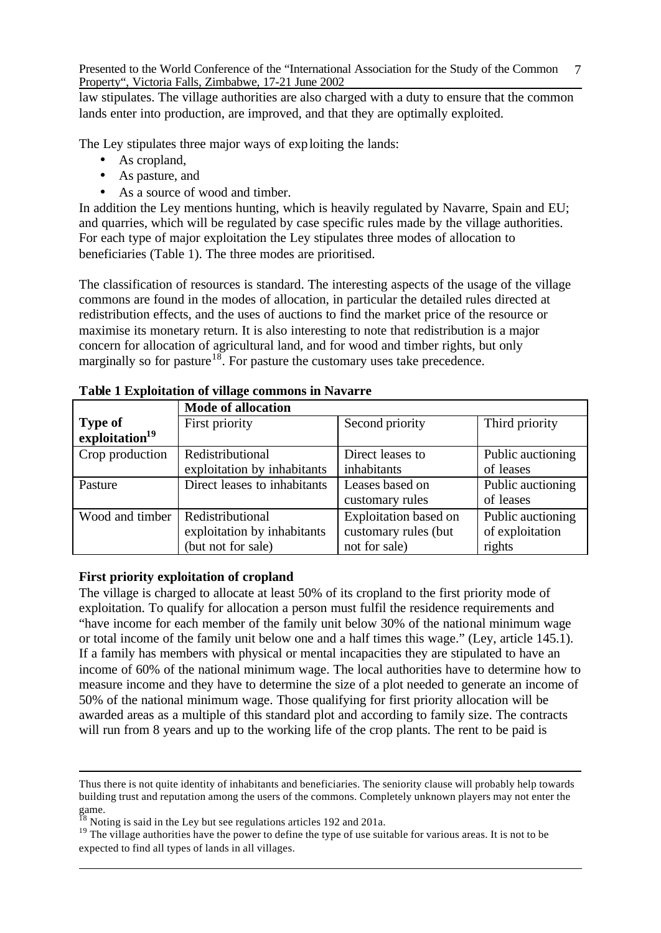law stipulates. The village authorities are also charged with a duty to ensure that the common lands enter into production, are improved, and that they are optimally exploited.

The Ley stipulates three major ways of exploiting the lands:

- As cropland,
- As pasture, and
- As a source of wood and timber.

In addition the Ley mentions hunting, which is heavily regulated by Navarre, Spain and EU; and quarries, which will be regulated by case specific rules made by the village authorities. For each type of major exploitation the Ley stipulates three modes of allocation to beneficiaries (Table 1). The three modes are prioritised.

The classification of resources is standard. The interesting aspects of the usage of the village commons are found in the modes of allocation, in particular the detailed rules directed at redistribution effects, and the uses of auctions to find the market price of the resource or maximise its monetary return. It is also interesting to note that redistribution is a major concern for allocation of agricultural land, and for wood and timber rights, but only marginally so for pasture<sup>18</sup>. For pasture the customary uses take precedence.

|                            | <b>Mode of allocation</b>    |                              |                   |  |  |
|----------------------------|------------------------------|------------------------------|-------------------|--|--|
| <b>Type of</b>             | First priority               | Second priority              | Third priority    |  |  |
| exploitation <sup>19</sup> |                              |                              |                   |  |  |
| Crop production            | Redistributional             | Direct leases to             | Public auctioning |  |  |
|                            | exploitation by inhabitants  | inhabitants                  | of leases         |  |  |
| Pasture                    | Direct leases to inhabitants | Leases based on              | Public auctioning |  |  |
|                            |                              | customary rules              | of leases         |  |  |
| Wood and timber            | Redistributional             | <b>Exploitation</b> based on | Public auctioning |  |  |
|                            | exploitation by inhabitants  | customary rules (but         | of exploitation   |  |  |
|                            | (but not for sale)           | not for sale)                | rights            |  |  |

**Table 1 Exploitation of village commons in Navarre** 

#### **First priority exploitation of cropland**

l

The village is charged to allocate at least 50% of its cropland to the first priority mode of exploitation. To qualify for allocation a person must fulfil the residence requirements and "have income for each member of the family unit below 30% of the national minimum wage or total income of the family unit below one and a half times this wage." (Ley, article 145.1). If a family has members with physical or mental incapacities they are stipulated to have an income of 60% of the national minimum wage. The local authorities have to determine how to measure income and they have to determine the size of a plot needed to generate an income of 50% of the national minimum wage. Those qualifying for first priority allocation will be awarded areas as a multiple of this standard plot and according to family size. The contracts will run from 8 years and up to the working life of the crop plants. The rent to be paid is

Thus there is not quite identity of inhabitants and beneficiaries. The seniority clause will probably help towards building trust and reputation among the users of the commons. Completely unknown players may not enter the  $\frac{1}{18}$ 

Noting is said in the Ley but see regulations articles 192 and 201a.

<sup>&</sup>lt;sup>19</sup> The village authorities have the power to define the type of use suitable for various areas. It is not to be expected to find all types of lands in all villages.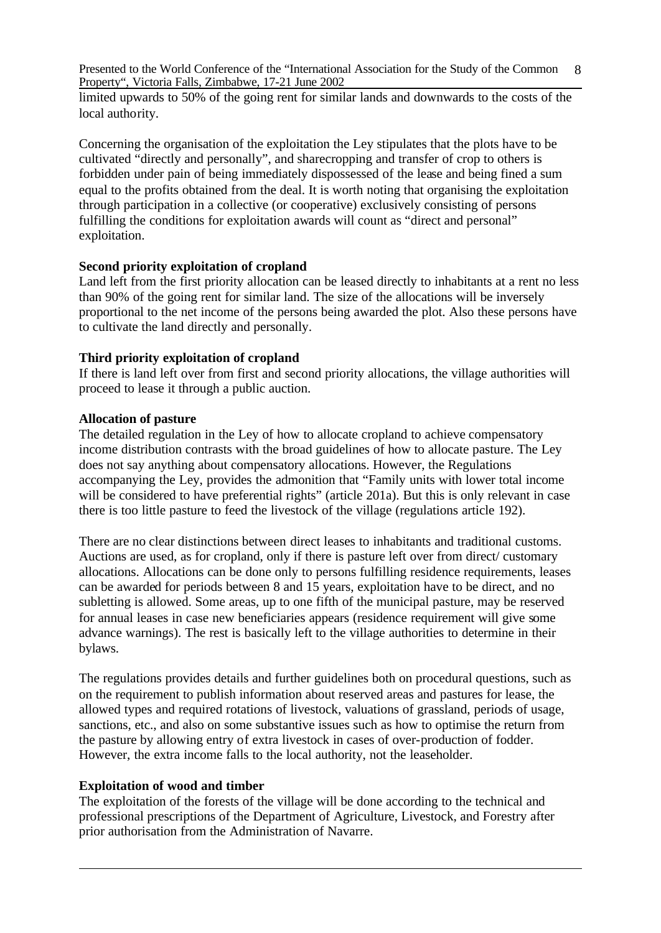limited upwards to 50% of the going rent for similar lands and downwards to the costs of the local authority.

Concerning the organisation of the exploitation the Ley stipulates that the plots have to be cultivated "directly and personally", and sharecropping and transfer of crop to others is forbidden under pain of being immediately dispossessed of the lease and being fined a sum equal to the profits obtained from the deal. It is worth noting that organising the exploitation through participation in a collective (or cooperative) exclusively consisting of persons fulfilling the conditions for exploitation awards will count as "direct and personal" exploitation.

#### **Second priority exploitation of cropland**

Land left from the first priority allocation can be leased directly to inhabitants at a rent no less than 90% of the going rent for similar land. The size of the allocations will be inversely proportional to the net income of the persons being awarded the plot. Also these persons have to cultivate the land directly and personally.

#### **Third priority exploitation of cropland**

If there is land left over from first and second priority allocations, the village authorities will proceed to lease it through a public auction.

## **Allocation of pasture**

The detailed regulation in the Ley of how to allocate cropland to achieve compensatory income distribution contrasts with the broad guidelines of how to allocate pasture. The Ley does not say anything about compensatory allocations. However, the Regulations accompanying the Ley, provides the admonition that "Family units with lower total income will be considered to have preferential rights" (article 201a). But this is only relevant in case there is too little pasture to feed the livestock of the village (regulations article 192).

There are no clear distinctions between direct leases to inhabitants and traditional customs. Auctions are used, as for cropland, only if there is pasture left over from direct/ customary allocations. Allocations can be done only to persons fulfilling residence requirements, leases can be awarded for periods between 8 and 15 years, exploitation have to be direct, and no subletting is allowed. Some areas, up to one fifth of the municipal pasture, may be reserved for annual leases in case new beneficiaries appears (residence requirement will give some advance warnings). The rest is basically left to the village authorities to determine in their bylaws.

The regulations provides details and further guidelines both on procedural questions, such as on the requirement to publish information about reserved areas and pastures for lease, the allowed types and required rotations of livestock, valuations of grassland, periods of usage, sanctions, etc., and also on some substantive issues such as how to optimise the return from the pasture by allowing entry of extra livestock in cases of over-production of fodder. However, the extra income falls to the local authority, not the leaseholder.

#### **Exploitation of wood and timber**

The exploitation of the forests of the village will be done according to the technical and professional prescriptions of the Department of Agriculture, Livestock, and Forestry after prior authorisation from the Administration of Navarre.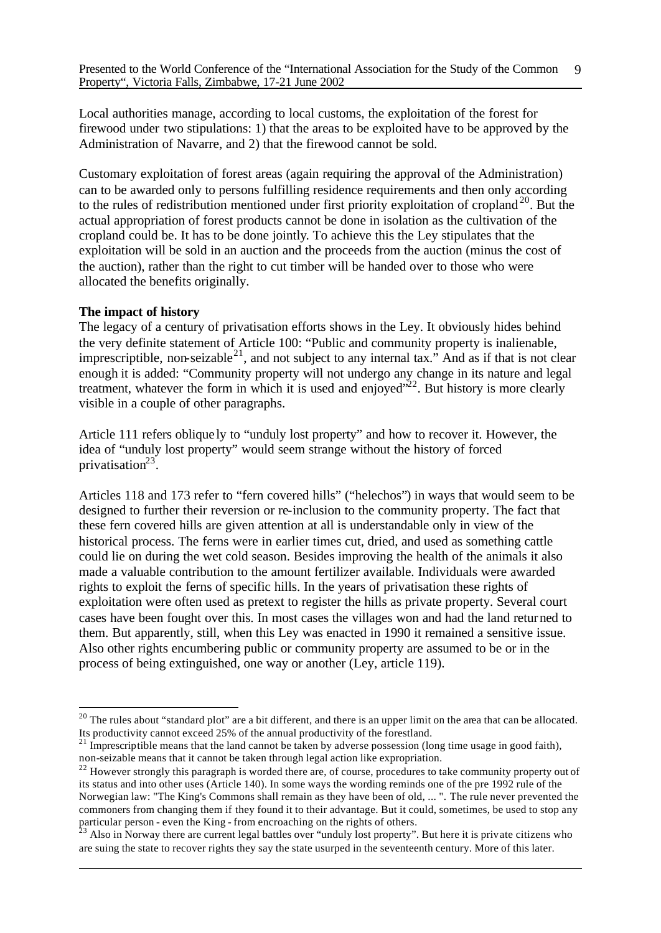Local authorities manage, according to local customs, the exploitation of the forest for firewood under two stipulations: 1) that the areas to be exploited have to be approved by the Administration of Navarre, and 2) that the firewood cannot be sold.

Customary exploitation of forest areas (again requiring the approval of the Administration) can to be awarded only to persons fulfilling residence requirements and then only according to the rules of redistribution mentioned under first priority exploitation of cropland<sup>20</sup>. But the actual appropriation of forest products cannot be done in isolation as the cultivation of the cropland could be. It has to be done jointly. To achieve this the Ley stipulates that the exploitation will be sold in an auction and the proceeds from the auction (minus the cost of the auction), rather than the right to cut timber will be handed over to those who were allocated the benefits originally.

#### **The impact of history**

l

The legacy of a century of privatisation efforts shows in the Ley. It obviously hides behind the very definite statement of Article 100: "Public and community property is inalienable, imprescriptible, non-seizable<sup>21</sup>, and not subject to any internal tax." And as if that is not clear enough it is added: "Community property will not undergo any change in its nature and legal treatment, whatever the form in which it is used and enjoyed" $^{22}$ . But history is more clearly visible in a couple of other paragraphs.

Article 111 refers oblique ly to "unduly lost property" and how to recover it. However, the idea of "unduly lost property" would seem strange without the history of forced privatisation $23$ .

Articles 118 and 173 refer to "fern covered hills" ("helechos") in ways that would seem to be designed to further their reversion or re-inclusion to the community property. The fact that these fern covered hills are given attention at all is understandable only in view of the historical process. The ferns were in earlier times cut, dried, and used as something cattle could lie on during the wet cold season. Besides improving the health of the animals it also made a valuable contribution to the amount fertilizer available. Individuals were awarded rights to exploit the ferns of specific hills. In the years of privatisation these rights of exploitation were often used as pretext to register the hills as private property. Several court cases have been fought over this. In most cases the villages won and had the land returned to them. But apparently, still, when this Ley was enacted in 1990 it remained a sensitive issue. Also other rights encumbering public or community property are assumed to be or in the process of being extinguished, one way or another (Ley, article 119).

<sup>&</sup>lt;sup>20</sup> The rules about "standard plot" are a bit different, and there is an upper limit on the area that can be allocated. Its productivity cannot exceed 25% of the annual productivity of the forestland.

 $21 \text{ Im}$  Imprescriptible means that the land cannot be taken by adverse possession (long time usage in good faith), non-seizable means that it cannot be taken through legal action like expropriation.

 $^{22}$  However strongly this paragraph is worded there are, of course, procedures to take community property out of its status and into other uses (Article 140). In some ways the wording reminds one of the pre 1992 rule of the Norwegian law: "The King's Commons shall remain as they have been of old, ... ". The rule never prevented the commoners from changing them if they found it to their advantage. But it could, sometimes, be used to stop any particular person - even the King - from encroaching on the rights of others.

 $3$  Also in Norway there are current legal battles over "unduly lost property". But here it is private citizens who are suing the state to recover rights they say the state usurped in the seventeenth century. More of this later.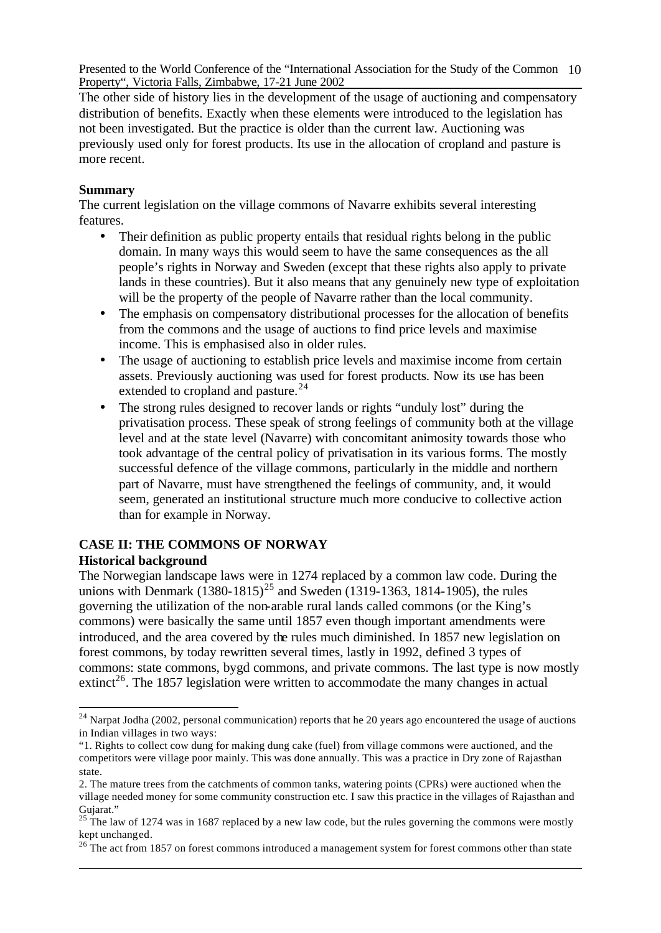The other side of history lies in the development of the usage of auctioning and compensatory distribution of benefits. Exactly when these elements were introduced to the legislation has not been investigated. But the practice is older than the current law. Auctioning was previously used only for forest products. Its use in the allocation of cropland and pasture is more recent.

## **Summary**

l

The current legislation on the village commons of Navarre exhibits several interesting features.

- Their definition as public property entails that residual rights belong in the public domain. In many ways this would seem to have the same consequences as the all people's rights in Norway and Sweden (except that these rights also apply to private lands in these countries). But it also means that any genuinely new type of exploitation will be the property of the people of Navarre rather than the local community.
- The emphasis on compensatory distributional processes for the allocation of benefits from the commons and the usage of auctions to find price levels and maximise income. This is emphasised also in older rules.
- The usage of auctioning to establish price levels and maximise income from certain assets. Previously auctioning was used for forest products. Now its use has been extended to cropland and pasture.<sup>24</sup>
- The strong rules designed to recover lands or rights "unduly lost" during the privatisation process. These speak of strong feelings of community both at the village level and at the state level (Navarre) with concomitant animosity towards those who took advantage of the central policy of privatisation in its various forms. The mostly successful defence of the village commons, particularly in the middle and northern part of Navarre, must have strengthened the feelings of community, and, it would seem, generated an institutional structure much more conducive to collective action than for example in Norway.

#### **CASE II: THE COMMONS OF NORWAY Historical background**

The Norwegian landscape laws were in 1274 replaced by a common law code. During the unions with Denmark  $(1380-1815)^{25}$  and Sweden (1319-1363, 1814-1905), the rules governing the utilization of the non-arable rural lands called commons (or the King's commons) were basically the same until 1857 even though important amendments were introduced, and the area covered by the rules much diminished. In 1857 new legislation on forest commons, by today rewritten several times, lastly in 1992, defined 3 types of commons: state commons, bygd commons, and private commons. The last type is now mostly extinct<sup>26</sup>. The 1857 legislation were written to accommodate the many changes in actual

 $24$  Narpat Jodha (2002, personal communication) reports that he 20 years ago encountered the usage of auctions in Indian villages in two ways:

<sup>&</sup>quot;1. Rights to collect cow dung for making dung cake (fuel) from village commons were auctioned, and the competitors were village poor mainly. This was done annually. This was a practice in Dry zone of Rajasthan state.

<sup>2.</sup> The mature trees from the catchments of common tanks, watering points (CPRs) were auctioned when the village needed money for some community construction etc. I saw this practice in the villages of Rajasthan and Gujarat."

<sup>&</sup>lt;sup>25</sup> The law of 1274 was in 1687 replaced by a new law code, but the rules governing the commons were mostly kept unchanged.

 $26$ <sup>26</sup> The act from 1857 on forest commons introduced a management system for forest commons other than state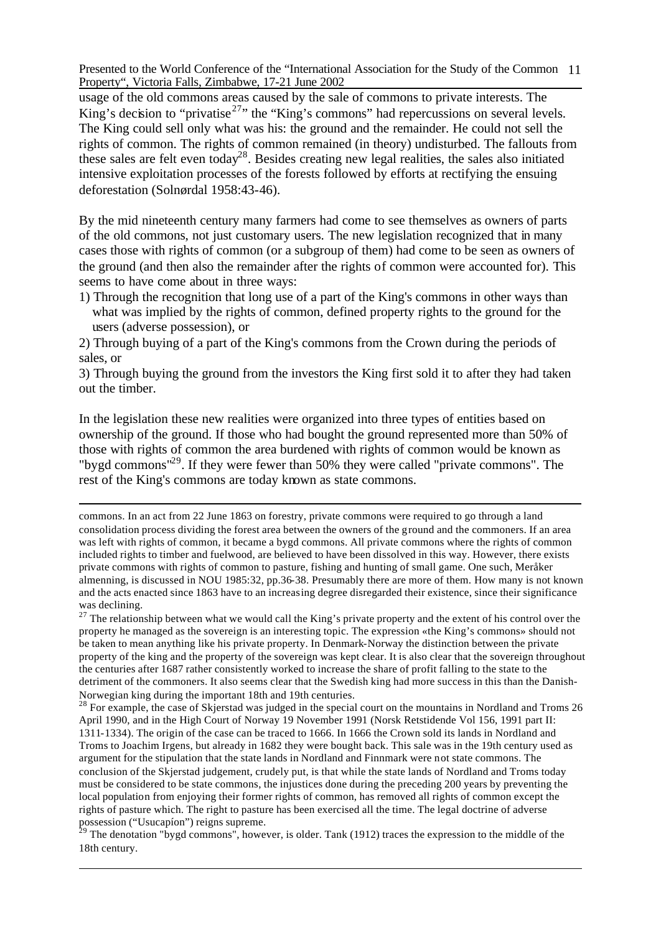usage of the old commons areas caused by the sale of commons to private interests. The King's decision to "privatise<sup>27</sup>" the "King's commons" had repercussions on several levels. The King could sell only what was his: the ground and the remainder. He could not sell the rights of common. The rights of common remained (in theory) undisturbed. The fallouts from these sales are felt even today<sup>28</sup>. Besides creating new legal realities, the sales also initiated intensive exploitation processes of the forests followed by efforts at rectifying the ensuing deforestation (Solnørdal 1958:43-46).

By the mid nineteenth century many farmers had come to see themselves as owners of parts of the old commons, not just customary users. The new legislation recognized that in many cases those with rights of common (or a subgroup of them) had come to be seen as owners of the ground (and then also the remainder after the rights of common were accounted for). This seems to have come about in three ways:

1) Through the recognition that long use of a part of the King's commons in other ways than what was implied by the rights of common, defined property rights to the ground for the users (adverse possession), or

2) Through buying of a part of the King's commons from the Crown during the periods of sales, or

3) Through buying the ground from the investors the King first sold it to after they had taken out the timber.

In the legislation these new realities were organized into three types of entities based on ownership of the ground. If those who had bought the ground represented more than 50% of those with rights of common the area burdened with rights of common would be known as "bygd commons"<sup>29</sup>. If they were fewer than 50% they were called "private commons". The rest of the King's commons are today known as state commons.

j

 $27$  The relationship between what we would call the King's private property and the extent of his control over the property he managed as the sovereign is an interesting topic. The expression «the King's commons» should not be taken to mean anything like his private property. In Denmark-Norway the distinction between the private property of the king and the property of the sovereign was kept clear. It is also clear that the sovereign throughout the centuries after 1687 rather consistently worked to increase the share of profit falling to the state to the detriment of the commoners. It also seems clear that the Swedish king had more success in this than the Danish-Norwegian king during the important 18th and 19th centuries.

 $^{28}$  For example, the case of Skjerstad was judged in the special court on the mountains in Nordland and Troms 26 April 1990, and in the High Court of Norway 19 November 1991 (Norsk Retstidende Vol 156, 1991 part II: 1311-1334). The origin of the case can be traced to 1666. In 1666 the Crown sold its lands in Nordland and Troms to Joachim Irgens, but already in 1682 they were bought back. This sale was in the 19th century used as argument for the stipulation that the state lands in Nordland and Finnmark were not state commons. The conclusion of the Skjerstad judgement, crudely put, is that while the state lands of Nordland and Troms today must be considered to be state commons, the injustices done during the preceding 200 years by preventing the local population from enjoying their former rights of common, has removed all rights of common except the rights of pasture which. The right to pasture has been exercised all the time. The legal doctrine of adverse possession ("Usucapíon") reigns supreme.

 $29$  The denotation "bygd commons", however, is older. Tank (1912) traces the expression to the middle of the 18th century.

commons. In an act from 22 June 1863 on forestry, private commons were required to go through a land consolidation process dividing the forest area between the owners of the ground and the commoners. If an area was left with rights of common, it became a bygd commons. All private commons where the rights of common included rights to timber and fuelwood, are believed to have been dissolved in this way. However, there exists private commons with rights of common to pasture, fishing and hunting of small game. One such, Meråker almenning, is discussed in NOU 1985:32, pp.36-38. Presumably there are more of them. How many is not known and the acts enacted since 1863 have to an increasing degree disregarded their existence, since their significance was declining.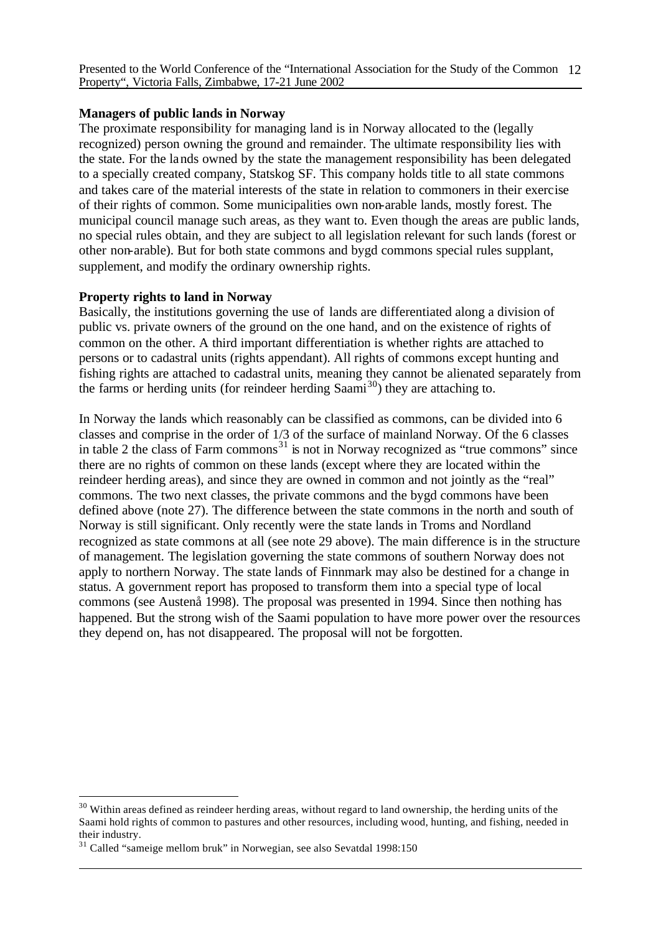## **Managers of public lands in Norway**

The proximate responsibility for managing land is in Norway allocated to the (legally recognized) person owning the ground and remainder. The ultimate responsibility lies with the state. For the lands owned by the state the management responsibility has been delegated to a specially created company, Statskog SF. This company holds title to all state commons and takes care of the material interests of the state in relation to commoners in their exercise of their rights of common. Some municipalities own non-arable lands, mostly forest. The municipal council manage such areas, as they want to. Even though the areas are public lands, no special rules obtain, and they are subject to all legislation relevant for such lands (forest or other non-arable). But for both state commons and bygd commons special rules supplant, supplement, and modify the ordinary ownership rights.

## **Property rights to land in Norway**

Basically, the institutions governing the use of lands are differentiated along a division of public vs. private owners of the ground on the one hand, and on the existence of rights of common on the other. A third important differentiation is whether rights are attached to persons or to cadastral units (rights appendant). All rights of commons except hunting and fishing rights are attached to cadastral units, meaning they cannot be alienated separately from the farms or herding units (for reindeer herding  $Saami^{30}$ ) they are attaching to.

In Norway the lands which reasonably can be classified as commons, can be divided into 6 classes and comprise in the order of 1/3 of the surface of mainland Norway. Of the 6 classes in table 2 the class of Farm commons<sup>31</sup> is not in Norway recognized as "true commons" since there are no rights of common on these lands (except where they are located within the reindeer herding areas), and since they are owned in common and not jointly as the "real" commons. The two next classes, the private commons and the bygd commons have been defined above (note 27). The difference between the state commons in the north and south of Norway is still significant. Only recently were the state lands in Troms and Nordland recognized as state commons at all (see note 29 above). The main difference is in the structure of management. The legislation governing the state commons of southern Norway does not apply to northern Norway. The state lands of Finnmark may also be destined for a change in status. A government report has proposed to transform them into a special type of local commons (see Austenå 1998). The proposal was presented in 1994. Since then nothing has happened. But the strong wish of the Saami population to have more power over the resources they depend on, has not disappeared. The proposal will not be forgotten.

<sup>&</sup>lt;sup>30</sup> Within areas defined as reindeer herding areas, without regard to land ownership, the herding units of the Saami hold rights of common to pastures and other resources, including wood, hunting, and fishing, needed in their industry.

<sup>&</sup>lt;sup>31</sup> Called "sameige mellom bruk" in Norwegian, see also Sevatdal 1998:150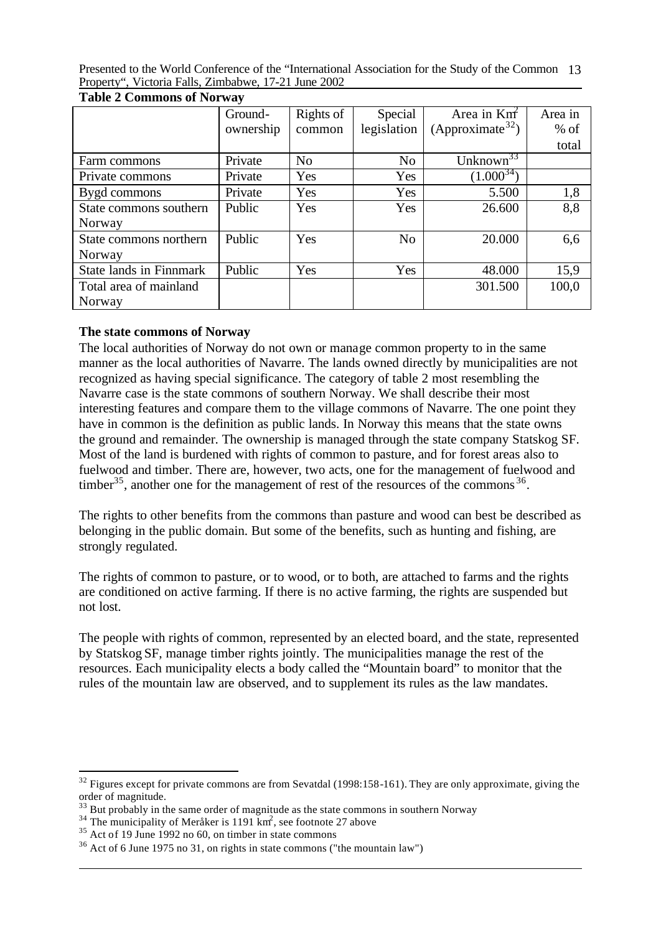|                                | Ground-   | Rights of      | Special        | Area in $Km^2$               | Area in |
|--------------------------------|-----------|----------------|----------------|------------------------------|---------|
|                                | ownership | common         | legislation    | (Approximate <sup>32</sup> ) | $%$ of  |
|                                |           |                |                |                              | total   |
| Farm commons                   | Private   | N <sub>o</sub> | N <sub>o</sub> | Unknown <sup>33</sup>        |         |
| Private commons                | Private   | Yes            | Yes            | $(1.000^{34})$               |         |
| Bygd commons                   | Private   | Yes            | Yes            | 5.500                        | 1,8     |
| State commons southern         | Public    | Yes            | Yes            | 26.600                       | 8,8     |
| Norway                         |           |                |                |                              |         |
| State commons northern         | Public    | Yes            | N <sub>o</sub> | 20.000                       | 6,6     |
| Norway                         |           |                |                |                              |         |
| <b>State lands in Finnmark</b> | Public    | Yes            | Yes            | 48.000                       | 15,9    |
| Total area of mainland         |           |                |                | 301.500                      | 100,0   |
| Norway                         |           |                |                |                              |         |

**Table 2 Commons of Norway**

## **The state commons of Norway**

The local authorities of Norway do not own or manage common property to in the same manner as the local authorities of Navarre. The lands owned directly by municipalities are not recognized as having special significance. The category of table 2 most resembling the Navarre case is the state commons of southern Norway. We shall describe their most interesting features and compare them to the village commons of Navarre. The one point they have in common is the definition as public lands. In Norway this means that the state owns the ground and remainder. The ownership is managed through the state company Statskog SF. Most of the land is burdened with rights of common to pasture, and for forest areas also to fuelwood and timber. There are, however, two acts, one for the management of fuelwood and timber<sup>35</sup>, another one for the management of rest of the resources of the commons  $36$ .

The rights to other benefits from the commons than pasture and wood can best be described as belonging in the public domain. But some of the benefits, such as hunting and fishing, are strongly regulated.

The rights of common to pasture, or to wood, or to both, are attached to farms and the rights are conditioned on active farming. If there is no active farming, the rights are suspended but not lost.

The people with rights of common, represented by an elected board, and the state, represented by Statskog SF, manage timber rights jointly. The municipalities manage the rest of the resources. Each municipality elects a body called the "Mountain board" to monitor that the rules of the mountain law are observed, and to supplement its rules as the law mandates.

<sup>&</sup>lt;sup>32</sup> Figures except for private commons are from Sevatdal (1998:158-161). They are only approximate, giving the order of magnitude.

 $33$  But probably in the same order of magnitude as the state commons in southern Norway

 $34$  The municipality of Meråker is 1191 km<sup>2</sup>, see footnote 27 above

 $35$  Act of 19 June 1992 no 60, on timber in state commons

 $36$  Act of 6 June 1975 no 31, on rights in state commons ("the mountain law")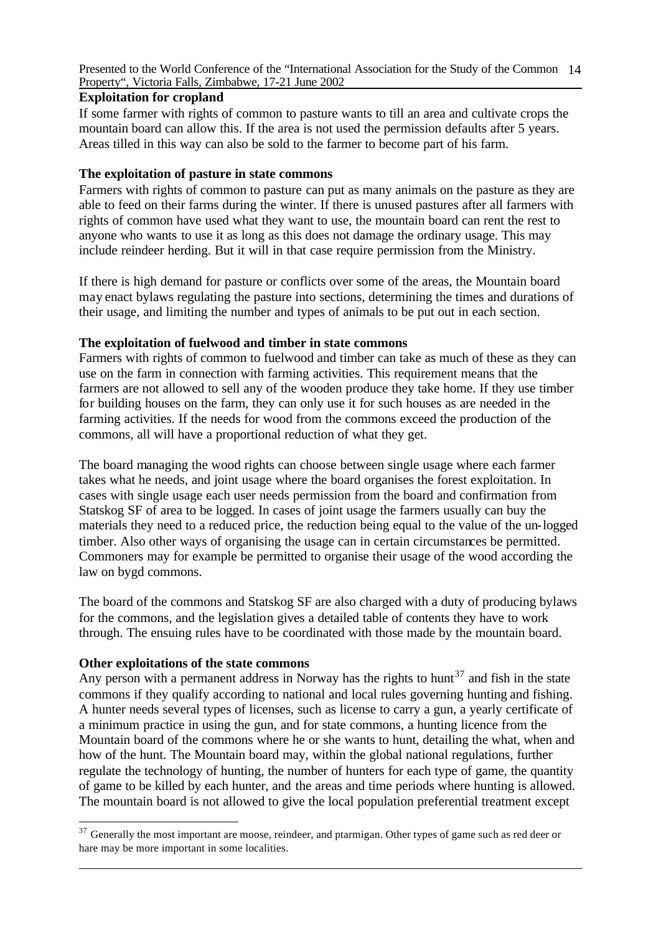#### **Exploitation for cropland**

If some farmer with rights of common to pasture wants to till an area and cultivate crops the mountain board can allow this. If the area is not used the permission defaults after 5 years. Areas tilled in this way can also be sold to the farmer to become part of his farm.

#### **The exploitation of pasture in state commons**

Farmers with rights of common to pasture can put as many animals on the pasture as they are able to feed on their farms during the winter. If there is unused pastures after all farmers with rights of common have used what they want to use, the mountain board can rent the rest to anyone who wants to use it as long as this does not damage the ordinary usage. This may include reindeer herding. But it will in that case require permission from the Ministry.

If there is high demand for pasture or conflicts over some of the areas, the Mountain board may enact bylaws regulating the pasture into sections, determining the times and durations of their usage, and limiting the number and types of animals to be put out in each section.

#### **The exploitation of fuelwood and timber in state commons**

Farmers with rights of common to fuelwood and timber can take as much of these as they can use on the farm in connection with farming activities. This requirement means that the farmers are not allowed to sell any of the wooden produce they take home. If they use timber for building houses on the farm, they can only use it for such houses as are needed in the farming activities. If the needs for wood from the commons exceed the production of the commons, all will have a proportional reduction of what they get.

The board managing the wood rights can choose between single usage where each farmer takes what he needs, and joint usage where the board organises the forest exploitation. In cases with single usage each user needs permission from the board and confirmation from Statskog SF of area to be logged. In cases of joint usage the farmers usually can buy the materials they need to a reduced price, the reduction being equal to the value of the un-logged timber. Also other ways of organising the usage can in certain circumstances be permitted. Commoners may for example be permitted to organise their usage of the wood according the law on bygd commons.

The board of the commons and Statskog SF are also charged with a duty of producing bylaws for the commons, and the legislation gives a detailed table of contents they have to work through. The ensuing rules have to be coordinated with those made by the mountain board.

#### **Other exploitations of the state commons**

l

Any person with a permanent address in Norway has the rights to hunt<sup>37</sup> and fish in the state commons if they qualify according to national and local rules governing hunting and fishing. A hunter needs several types of licenses, such as license to carry a gun, a yearly certificate of a minimum practice in using the gun, and for state commons, a hunting licence from the Mountain board of the commons where he or she wants to hunt, detailing the what, when and how of the hunt. The Mountain board may, within the global national regulations, further regulate the technology of hunting, the number of hunters for each type of game, the quantity of game to be killed by each hunter, and the areas and time periods where hunting is allowed. The mountain board is not allowed to give the local population preferential treatment except

 $37$  Generally the most important are moose, reindeer, and ptarmigan. Other types of game such as red deer or hare may be more important in some localities.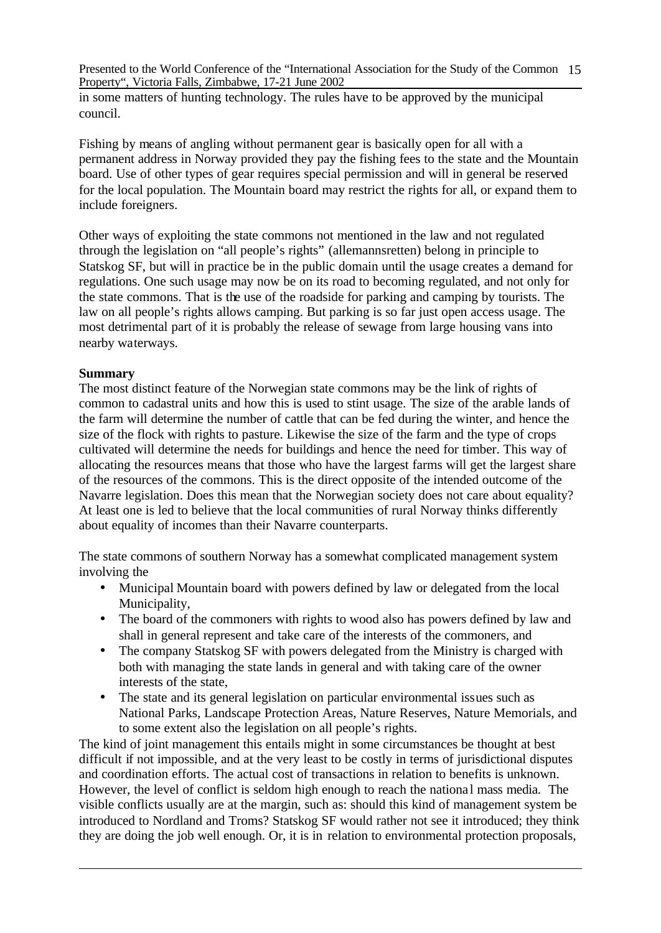in some matters of hunting technology. The rules have to be approved by the municipal council.

Fishing by means of angling without permanent gear is basically open for all with a permanent address in Norway provided they pay the fishing fees to the state and the Mountain board. Use of other types of gear requires special permission and will in general be reserved for the local population. The Mountain board may restrict the rights for all, or expand them to include foreigners.

Other ways of exploiting the state commons not mentioned in the law and not regulated through the legislation on "all people's rights" (allemannsretten) belong in principle to Statskog SF, but will in practice be in the public domain until the usage creates a demand for regulations. One such usage may now be on its road to becoming regulated, and not only for the state commons. That is the use of the roadside for parking and camping by tourists. The law on all people's rights allows camping. But parking is so far just open access usage. The most detrimental part of it is probably the release of sewage from large housing vans into nearby waterways.

#### **Summary**

The most distinct feature of the Norwegian state commons may be the link of rights of common to cadastral units and how this is used to stint usage. The size of the arable lands of the farm will determine the number of cattle that can be fed during the winter, and hence the size of the flock with rights to pasture. Likewise the size of the farm and the type of crops cultivated will determine the needs for buildings and hence the need for timber. This way of allocating the resources means that those who have the largest farms will get the largest share of the resources of the commons. This is the direct opposite of the intended outcome of the Navarre legislation. Does this mean that the Norwegian society does not care about equality? At least one is led to believe that the local communities of rural Norway thinks differently about equality of incomes than their Navarre counterparts.

The state commons of southern Norway has a somewhat complicated management system involving the

- Municipal Mountain board with powers defined by law or delegated from the local Municipality,
- The board of the commoners with rights to wood also has powers defined by law and shall in general represent and take care of the interests of the commoners, and
- The company Statskog SF with powers delegated from the Ministry is charged with both with managing the state lands in general and with taking care of the owner interests of the state,
- The state and its general legislation on particular environmental issues such as National Parks, Landscape Protection Areas, Nature Reserves, Nature Memorials, and to some extent also the legislation on all people's rights.

The kind of joint management this entails might in some circumstances be thought at best difficult if not impossible, and at the very least to be costly in terms of jurisdictional disputes and coordination efforts. The actual cost of transactions in relation to benefits is unknown. However, the level of conflict is seldom high enough to reach the national mass media. The visible conflicts usually are at the margin, such as: should this kind of management system be introduced to Nordland and Troms? Statskog SF would rather not see it introduced; they think they are doing the job well enough. Or, it is in relation to environmental protection proposals,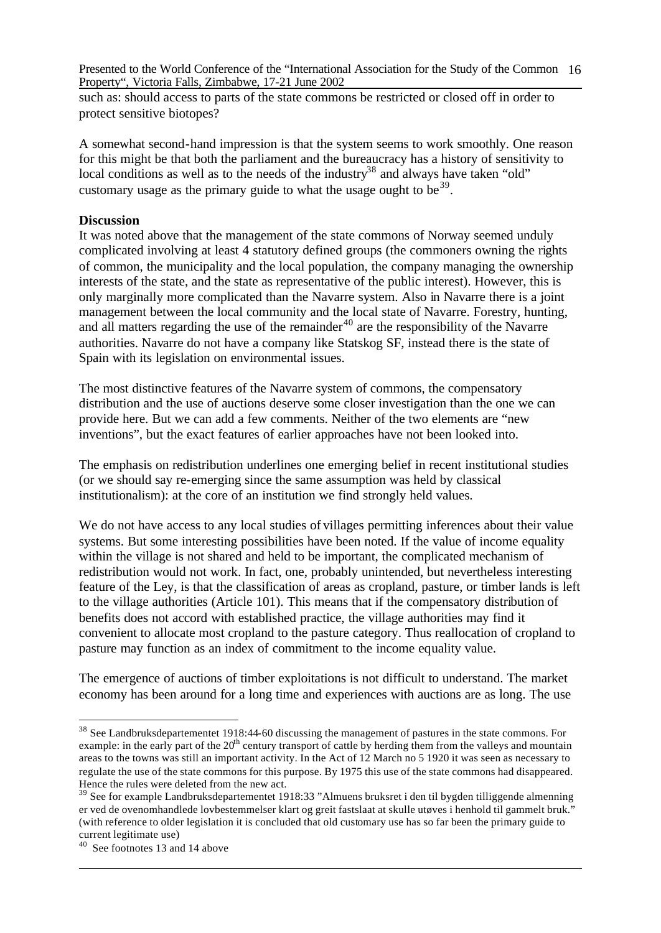such as: should access to parts of the state commons be restricted or closed off in order to protect sensitive biotopes?

A somewhat second-hand impression is that the system seems to work smoothly. One reason for this might be that both the parliament and the bureaucracy has a history of sensitivity to local conditions as well as to the needs of the industry<sup>38</sup> and always have taken "old" customary usage as the primary guide to what the usage ought to be  $39$ .

#### **Discussion**

It was noted above that the management of the state commons of Norway seemed unduly complicated involving at least 4 statutory defined groups (the commoners owning the rights of common, the municipality and the local population, the company managing the ownership interests of the state, and the state as representative of the public interest). However, this is only marginally more complicated than the Navarre system. Also in Navarre there is a joint management between the local community and the local state of Navarre. Forestry, hunting, and all matters regarding the use of the remainder<sup>40</sup> are the responsibility of the Navarre authorities. Navarre do not have a company like Statskog SF, instead there is the state of Spain with its legislation on environmental issues.

The most distinctive features of the Navarre system of commons, the compensatory distribution and the use of auctions deserve some closer investigation than the one we can provide here. But we can add a few comments. Neither of the two elements are "new inventions", but the exact features of earlier approaches have not been looked into.

The emphasis on redistribution underlines one emerging belief in recent institutional studies (or we should say re-emerging since the same assumption was held by classical institutionalism): at the core of an institution we find strongly held values.

We do not have access to any local studies of villages permitting inferences about their value systems. But some interesting possibilities have been noted. If the value of income equality within the village is not shared and held to be important, the complicated mechanism of redistribution would not work. In fact, one, probably unintended, but nevertheless interesting feature of the Ley, is that the classification of areas as cropland, pasture, or timber lands is left to the village authorities (Article 101). This means that if the compensatory distribution of benefits does not accord with established practice, the village authorities may find it convenient to allocate most cropland to the pasture category. Thus reallocation of cropland to pasture may function as an index of commitment to the income equality value.

The emergence of auctions of timber exploitations is not difficult to understand. The market economy has been around for a long time and experiences with auctions are as long. The use

<sup>&</sup>lt;sup>38</sup> See Landbruksdepartementet 1918:44-60 discussing the management of pastures in the state commons. For example: in the early part of the  $20<sup>th</sup>$  century transport of cattle by herding them from the valleys and mountain areas to the towns was still an important activity. In the Act of 12 March no 5 1920 it was seen as necessary to regulate the use of the state commons for this purpose. By 1975 this use of the state commons had disappeared. Hence the rules were deleted from the new act.

<sup>&</sup>lt;sup>39</sup> See for example Landbruksdepartementet 1918:33 "Almuens bruksret i den til bygden tilliggende almenning er ved de ovenomhandlede lovbestemmelser klart og greit fastslaat at skulle utøves i henhold til gammelt bruk." (with reference to older legislation it is concluded that old customary use has so far been the primary guide to current legitimate use)

<sup>40</sup> See footnotes 13 and 14 above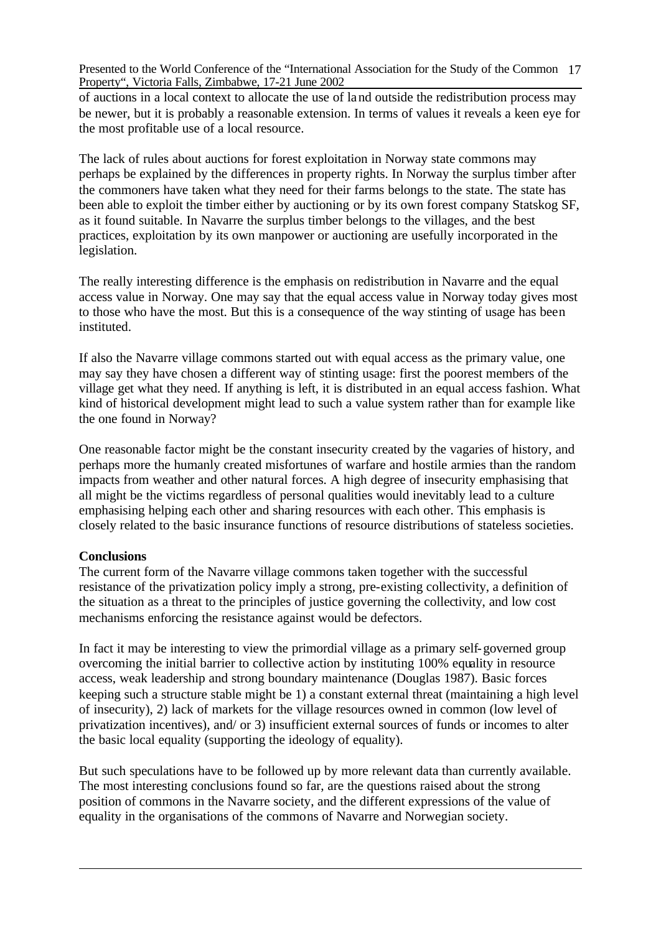of auctions in a local context to allocate the use of land outside the redistribution process may be newer, but it is probably a reasonable extension. In terms of values it reveals a keen eye for the most profitable use of a local resource.

The lack of rules about auctions for forest exploitation in Norway state commons may perhaps be explained by the differences in property rights. In Norway the surplus timber after the commoners have taken what they need for their farms belongs to the state. The state has been able to exploit the timber either by auctioning or by its own forest company Statskog SF, as it found suitable. In Navarre the surplus timber belongs to the villages, and the best practices, exploitation by its own manpower or auctioning are usefully incorporated in the legislation.

The really interesting difference is the emphasis on redistribution in Navarre and the equal access value in Norway. One may say that the equal access value in Norway today gives most to those who have the most. But this is a consequence of the way stinting of usage has been instituted.

If also the Navarre village commons started out with equal access as the primary value, one may say they have chosen a different way of stinting usage: first the poorest members of the village get what they need. If anything is left, it is distributed in an equal access fashion. What kind of historical development might lead to such a value system rather than for example like the one found in Norway?

One reasonable factor might be the constant insecurity created by the vagaries of history, and perhaps more the humanly created misfortunes of warfare and hostile armies than the random impacts from weather and other natural forces. A high degree of insecurity emphasising that all might be the victims regardless of personal qualities would inevitably lead to a culture emphasising helping each other and sharing resources with each other. This emphasis is closely related to the basic insurance functions of resource distributions of stateless societies.

#### **Conclusions**

The current form of the Navarre village commons taken together with the successful resistance of the privatization policy imply a strong, pre-existing collectivity, a definition of the situation as a threat to the principles of justice governing the collectivity, and low cost mechanisms enforcing the resistance against would be defectors.

In fact it may be interesting to view the primordial village as a primary self-governed group overcoming the initial barrier to collective action by instituting 100% equality in resource access, weak leadership and strong boundary maintenance (Douglas 1987). Basic forces keeping such a structure stable might be 1) a constant external threat (maintaining a high level of insecurity), 2) lack of markets for the village resources owned in common (low level of privatization incentives), and/ or 3) insufficient external sources of funds or incomes to alter the basic local equality (supporting the ideology of equality).

But such speculations have to be followed up by more relevant data than currently available. The most interesting conclusions found so far, are the questions raised about the strong position of commons in the Navarre society, and the different expressions of the value of equality in the organisations of the commons of Navarre and Norwegian society.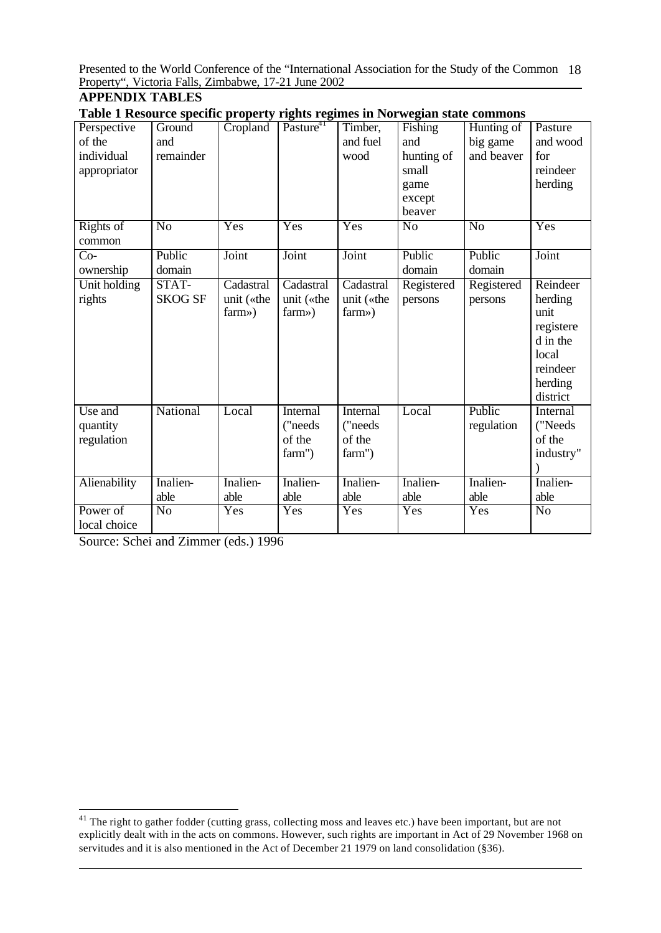# **APPENDIX TABLES**

| Table 1 Resource specific property rights regimes in Norwegian state commons |  |  |
|------------------------------------------------------------------------------|--|--|
|                                                                              |  |  |

|                       | $\mu$ is the property region regimes in 1961 we give |            |                       |            |                |                |                |
|-----------------------|------------------------------------------------------|------------|-----------------------|------------|----------------|----------------|----------------|
| Perspective           | Ground                                               | Cropland   | Pasture <sup>41</sup> | Timber,    | Fishing        | Hunting of     | Pasture        |
| of the                | and                                                  |            |                       | and fuel   | and            | big game       | and wood       |
| individual            | remainder                                            |            |                       | wood       | hunting of     | and beaver     | for            |
| appropriator          |                                                      |            |                       |            | small          |                | reindeer       |
|                       |                                                      |            |                       |            | game           |                | herding        |
|                       |                                                      |            |                       |            | except         |                |                |
|                       |                                                      |            |                       |            | beaver         |                |                |
| <b>Rights</b> of      | $\overline{No}$                                      | Yes        | Yes                   | Yes        | N <sub>0</sub> | N <sub>o</sub> | Yes            |
| common                |                                                      |            |                       |            |                |                |                |
| $Co-$                 | Public                                               | Joint      | Joint                 | Joint      | Public         | Public         | Joint          |
| ownership             | domain                                               |            |                       |            | domain         | domain         |                |
| Unit holding          | STAT-                                                | Cadastral  | Cadastral             | Cadastral  | Registered     | Registered     | Reindeer       |
| rights                | <b>SKOG SF</b>                                       | unit («the | unit («the            | unit («the | persons        | persons        | herding        |
|                       |                                                      | farm»)     | $farm$ $\gg$ )        | farm»)     |                |                | unit           |
|                       |                                                      |            |                       |            |                |                | registere      |
|                       |                                                      |            |                       |            |                |                | d in the       |
|                       |                                                      |            |                       |            |                |                | local          |
|                       |                                                      |            |                       |            |                |                | reindeer       |
|                       |                                                      |            |                       |            |                |                | herding        |
|                       |                                                      |            |                       |            |                |                | district       |
| Use and               | National                                             | Local      | Internal              | Internal   | Local          | Public         | Internal       |
| quantity              |                                                      |            | ("needs               | ("needs    |                | regulation     | ("Needs        |
| regulation            |                                                      |            | of the                | of the     |                |                | of the         |
|                       |                                                      |            | farm")                | farm")     |                |                | industry"      |
|                       |                                                      |            |                       |            |                |                |                |
| Alienability          | Inalien-                                             | Inalien-   | Inalien-              | Inalien-   | Inalien-       | Inalien-       | Inalien-       |
|                       | able                                                 | able       | able                  | able       | able           | able           | able           |
| Power $\overline{of}$ | N <sub>o</sub>                                       | Yes        | Yes                   | Yes        | Yes            | Yes            | N <sub>o</sub> |
| local choice          |                                                      |            |                       |            |                |                |                |

Source: Schei and Zimmer (eds.) 1996

 $41$  The right to gather fodder (cutting grass, collecting moss and leaves etc.) have been important, but are not explicitly dealt with in the acts on commons. However, such rights are important in Act of 29 November 1968 on servitudes and it is also mentioned in the Act of December 21 1979 on land consolidation (§36).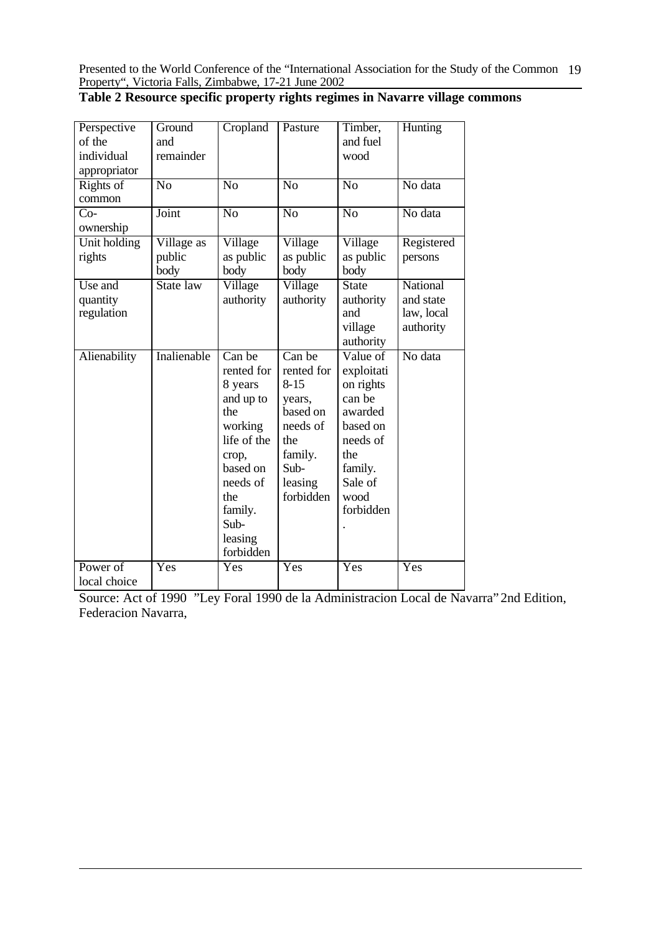| Table 2 Resource specific property rights regimes in Navarre village commons |  |  |  |  |
|------------------------------------------------------------------------------|--|--|--|--|
|------------------------------------------------------------------------------|--|--|--|--|

| Perspective<br>of the<br>individual<br>appropriator | Ground<br>and<br>remainder   | Cropland                                                                                                                                                         | Pasture                                                                                                              | Timber,<br>and fuel<br>wood                                                                                                        | Hunting                                          |
|-----------------------------------------------------|------------------------------|------------------------------------------------------------------------------------------------------------------------------------------------------------------|----------------------------------------------------------------------------------------------------------------------|------------------------------------------------------------------------------------------------------------------------------------|--------------------------------------------------|
| Rights of<br>common                                 | N <sub>0</sub>               | $\overline{No}$                                                                                                                                                  | $\overline{No}$                                                                                                      | N <sub>0</sub>                                                                                                                     | No data                                          |
| $Co-$<br>ownership                                  | Joint                        | N <sub>o</sub>                                                                                                                                                   | N <sub>o</sub>                                                                                                       | N <sub>0</sub>                                                                                                                     | No data                                          |
| Unit holding<br>rights                              | Village as<br>public<br>body | Village<br>as public<br>body                                                                                                                                     | Village<br>as public<br>body                                                                                         | Village<br>as public<br>body                                                                                                       | Registered<br>persons                            |
| Use and<br>quantity<br>regulation                   | State law                    | Village<br>authority                                                                                                                                             | Village<br>authority                                                                                                 | State<br>authority<br>and<br>village<br>authority                                                                                  | National<br>and state<br>law, local<br>authority |
| Alienability                                        | Inalienable                  | Can be<br>rented for<br>8 years<br>and up to<br>the<br>working<br>life of the<br>crop,<br>based on<br>needs of<br>the<br>family.<br>Sub-<br>leasing<br>forbidden | Can be<br>rented for<br>$8 - 15$<br>years,<br>based on<br>needs of<br>the<br>family.<br>Sub-<br>leasing<br>forbidden | Value of<br>exploitati<br>on rights<br>can be<br>awarded<br>based on<br>needs of<br>the<br>family.<br>Sale of<br>wood<br>forbidden | No data                                          |
| Power of<br>local choice                            | Yes                          | $\overline{\mathrm{Yes}}$                                                                                                                                        | Yes                                                                                                                  | Yes                                                                                                                                | Yes                                              |

Source: Act of 1990 "Ley Foral 1990 de la Administracion Local de Navarra" 2nd Edition, Federacion Navarra,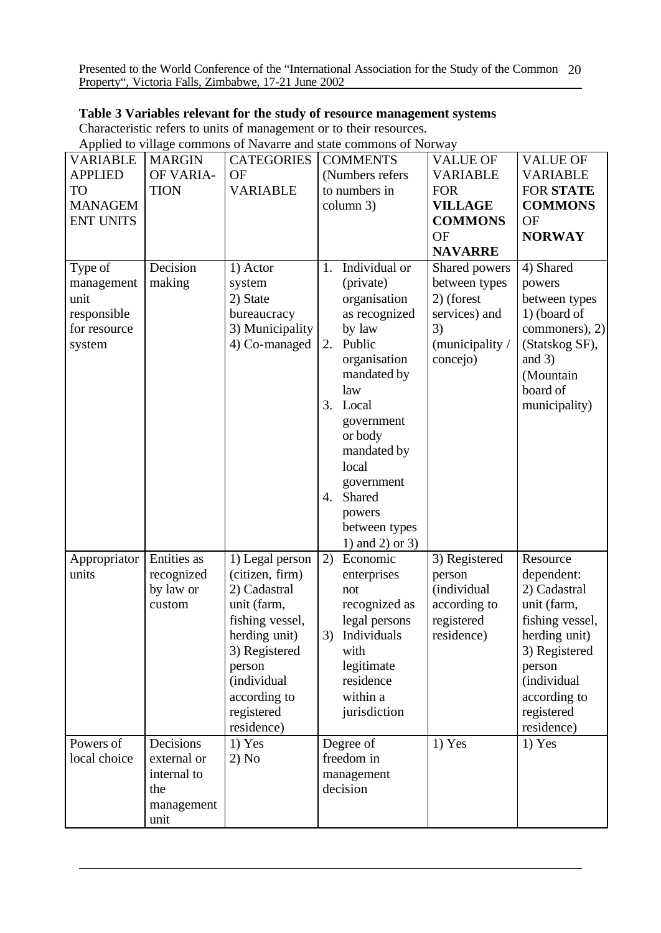## **Table 3 Variables relevant for the study of resource management systems**

Characteristic refers to units of management or to their resources.

Applied to village commons of Navarre and state commons of Norway

| <b>VARIABLE</b>                                                        | <b>MARGIN</b>                                                        | <b>CATEGORIES</b>                                                                                                                                                                           | <b>COMMENTS</b>                                                                                                                                                                                                                                                               | <b>VALUE OF</b>                                                                                    | <b>VALUE OF</b>                                                                                                                                                                 |
|------------------------------------------------------------------------|----------------------------------------------------------------------|---------------------------------------------------------------------------------------------------------------------------------------------------------------------------------------------|-------------------------------------------------------------------------------------------------------------------------------------------------------------------------------------------------------------------------------------------------------------------------------|----------------------------------------------------------------------------------------------------|---------------------------------------------------------------------------------------------------------------------------------------------------------------------------------|
| <b>APPLIED</b>                                                         | OF VARIA-                                                            | <b>OF</b>                                                                                                                                                                                   | (Numbers refers                                                                                                                                                                                                                                                               | <b>VARIABLE</b>                                                                                    | <b>VARIABLE</b>                                                                                                                                                                 |
| <b>TO</b>                                                              | <b>TION</b>                                                          | <b>VARIABLE</b>                                                                                                                                                                             | to numbers in                                                                                                                                                                                                                                                                 | <b>FOR</b>                                                                                         | <b>FOR STATE</b>                                                                                                                                                                |
| <b>MANAGEM</b>                                                         |                                                                      |                                                                                                                                                                                             | column 3)                                                                                                                                                                                                                                                                     | <b>VILLAGE</b>                                                                                     | <b>COMMONS</b>                                                                                                                                                                  |
| <b>ENT UNITS</b>                                                       |                                                                      |                                                                                                                                                                                             |                                                                                                                                                                                                                                                                               | <b>COMMONS</b>                                                                                     | <b>OF</b>                                                                                                                                                                       |
|                                                                        |                                                                      |                                                                                                                                                                                             |                                                                                                                                                                                                                                                                               | <b>OF</b>                                                                                          | <b>NORWAY</b>                                                                                                                                                                   |
|                                                                        |                                                                      |                                                                                                                                                                                             |                                                                                                                                                                                                                                                                               | <b>NAVARRE</b>                                                                                     |                                                                                                                                                                                 |
| Type of<br>management<br>unit<br>responsible<br>for resource<br>system | Decision<br>making                                                   | 1) Actor<br>system<br>2) State<br>bureaucracy<br>3) Municipality<br>4) Co-managed                                                                                                           | Individual or<br>1.<br>(private)<br>organisation<br>as recognized<br>by law<br>Public<br>2.<br>organisation<br>mandated by<br>law<br>Local<br>3.<br>government<br>or body<br>mandated by<br>local<br>government<br>Shared<br>4.<br>powers<br>between types<br>1) and 2) or 3) | Shared powers<br>between types<br>2) (forest<br>services) and<br>3)<br>(municipality /<br>concejo) | 4) Shared<br>powers<br>between types<br>1) (board of<br>commoners), 2)<br>(Statskog SF),<br>and $3)$<br>(Mountain<br>board of<br>municipality)                                  |
| Appropriator<br>units                                                  | Entities as<br>recognized<br>by law or<br>custom                     | 1) Legal person<br>(citizen, firm)<br>2) Cadastral<br>unit (farm,<br>fishing vessel,<br>herding unit)<br>3) Registered<br>person<br>(individual<br>according to<br>registered<br>residence) | Economic<br>2)<br>enterprises<br>not<br>recognized as<br>legal persons<br>Individuals<br>3)<br>with<br>legitimate<br>residence<br>within a<br>jurisdiction                                                                                                                    | 3) Registered<br>person<br><i>(individual</i><br>according to<br>registered<br>residence)          | Resource<br>dependent:<br>2) Cadastral<br>unit (farm,<br>fishing vessel,<br>herding unit)<br>3) Registered<br>person<br>(individual<br>according to<br>registered<br>residence) |
| Powers of<br>local choice                                              | Decisions<br>external or<br>internal to<br>the<br>management<br>unit | $1)$ Yes<br>2) No                                                                                                                                                                           | Degree of<br>freedom in<br>management<br>decision                                                                                                                                                                                                                             | $1)$ Yes                                                                                           | $1)$ Yes                                                                                                                                                                        |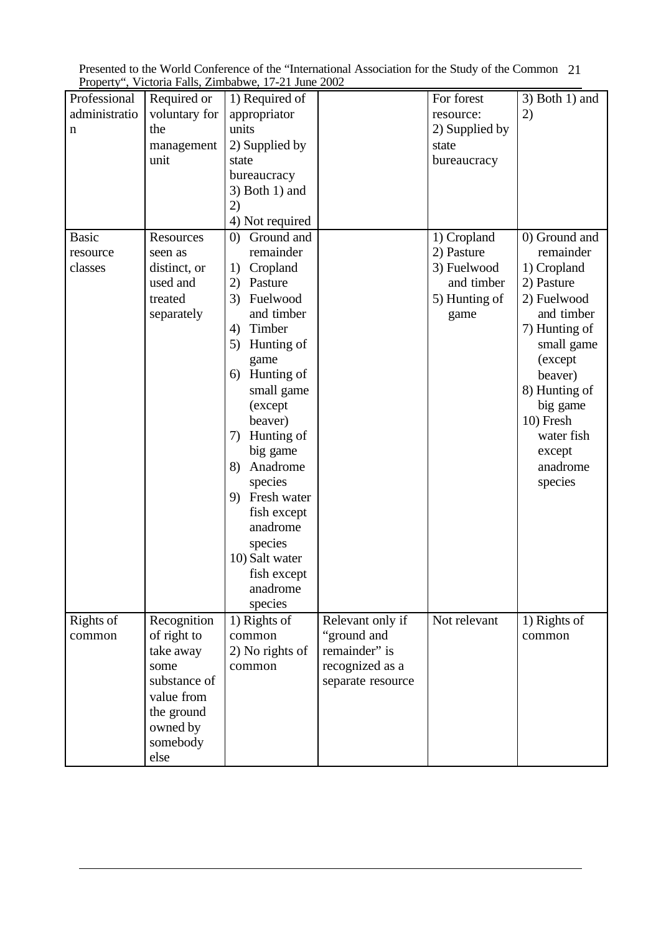| Presented to the World Conference of the "International Association for the Study of the Common 21 |  |
|----------------------------------------------------------------------------------------------------|--|
| Property", Victoria Falls, Zimbabwe, 17-21 June 2002                                               |  |

| administratio<br>appropriator<br>voluntary for<br>2)<br>resource:<br>units<br>2) Supplied by<br>the<br>n<br>2) Supplied by<br>management<br>state<br>unit<br>bureaucracy<br>state<br>bureaucracy<br>$3)$ Both 1) and<br>2)<br>4) Not required<br>Ground and<br>0) Ground and<br><b>Basic</b><br>1) Cropland<br>Resources<br>$\left( 0\right)$<br>remainder<br>2) Pasture<br>remainder<br>resource<br>seen as<br>Cropland<br>3) Fuelwood<br>1) Cropland<br>distinct, or<br>classes<br>1)<br>used and<br>Pasture<br>and timber<br>2) Pasture<br>2)<br>Fuelwood<br>5) Hunting of<br>2) Fuelwood<br>treated<br>3)<br>and timber<br>and timber<br>separately<br>game<br>Timber<br>7) Hunting of<br>4)<br>Hunting of<br>5)<br>small game<br>(except<br>game<br>6) Hunting of<br>beaver)<br>8) Hunting of<br>small game<br>big game<br>(except<br>10) Fresh<br>beaver)<br>Hunting of<br>water fish<br>7)<br>big game<br>except<br>Anadrome<br>anadrome<br>8)<br>species<br>species<br>9) Fresh water<br>fish except<br>anadrome<br>species<br>10) Salt water<br>fish except<br>anadrome<br>species<br>Rights of<br>Recognition<br>1) Rights of<br>Relevant only if<br>Not relevant<br>1) Rights of<br>"ground and<br>of right to<br>common<br>common<br>common<br>remainder" is<br>take away<br>2) No rights of<br>recognized as a<br>some<br>common<br>substance of<br>separate resource<br>value from<br>the ground<br>owned by |              |             |                |            |                              |
|----------------------------------------------------------------------------------------------------------------------------------------------------------------------------------------------------------------------------------------------------------------------------------------------------------------------------------------------------------------------------------------------------------------------------------------------------------------------------------------------------------------------------------------------------------------------------------------------------------------------------------------------------------------------------------------------------------------------------------------------------------------------------------------------------------------------------------------------------------------------------------------------------------------------------------------------------------------------------------------------------------------------------------------------------------------------------------------------------------------------------------------------------------------------------------------------------------------------------------------------------------------------------------------------------------------------------------------------------------------------------------------------------------------------------|--------------|-------------|----------------|------------|------------------------------|
|                                                                                                                                                                                                                                                                                                                                                                                                                                                                                                                                                                                                                                                                                                                                                                                                                                                                                                                                                                                                                                                                                                                                                                                                                                                                                                                                                                                                                            | Professional | Required or | 1) Required of | For forest | $\overline{3}$ ) Both 1) and |
|                                                                                                                                                                                                                                                                                                                                                                                                                                                                                                                                                                                                                                                                                                                                                                                                                                                                                                                                                                                                                                                                                                                                                                                                                                                                                                                                                                                                                            |              |             |                |            |                              |
|                                                                                                                                                                                                                                                                                                                                                                                                                                                                                                                                                                                                                                                                                                                                                                                                                                                                                                                                                                                                                                                                                                                                                                                                                                                                                                                                                                                                                            |              |             |                |            |                              |
|                                                                                                                                                                                                                                                                                                                                                                                                                                                                                                                                                                                                                                                                                                                                                                                                                                                                                                                                                                                                                                                                                                                                                                                                                                                                                                                                                                                                                            |              |             |                |            |                              |
|                                                                                                                                                                                                                                                                                                                                                                                                                                                                                                                                                                                                                                                                                                                                                                                                                                                                                                                                                                                                                                                                                                                                                                                                                                                                                                                                                                                                                            |              |             |                |            |                              |
|                                                                                                                                                                                                                                                                                                                                                                                                                                                                                                                                                                                                                                                                                                                                                                                                                                                                                                                                                                                                                                                                                                                                                                                                                                                                                                                                                                                                                            |              |             |                |            |                              |
|                                                                                                                                                                                                                                                                                                                                                                                                                                                                                                                                                                                                                                                                                                                                                                                                                                                                                                                                                                                                                                                                                                                                                                                                                                                                                                                                                                                                                            |              |             |                |            |                              |
|                                                                                                                                                                                                                                                                                                                                                                                                                                                                                                                                                                                                                                                                                                                                                                                                                                                                                                                                                                                                                                                                                                                                                                                                                                                                                                                                                                                                                            |              |             |                |            |                              |
|                                                                                                                                                                                                                                                                                                                                                                                                                                                                                                                                                                                                                                                                                                                                                                                                                                                                                                                                                                                                                                                                                                                                                                                                                                                                                                                                                                                                                            |              |             |                |            |                              |
|                                                                                                                                                                                                                                                                                                                                                                                                                                                                                                                                                                                                                                                                                                                                                                                                                                                                                                                                                                                                                                                                                                                                                                                                                                                                                                                                                                                                                            |              |             |                |            |                              |
|                                                                                                                                                                                                                                                                                                                                                                                                                                                                                                                                                                                                                                                                                                                                                                                                                                                                                                                                                                                                                                                                                                                                                                                                                                                                                                                                                                                                                            |              |             |                |            |                              |
|                                                                                                                                                                                                                                                                                                                                                                                                                                                                                                                                                                                                                                                                                                                                                                                                                                                                                                                                                                                                                                                                                                                                                                                                                                                                                                                                                                                                                            |              |             |                |            |                              |
|                                                                                                                                                                                                                                                                                                                                                                                                                                                                                                                                                                                                                                                                                                                                                                                                                                                                                                                                                                                                                                                                                                                                                                                                                                                                                                                                                                                                                            |              |             |                |            |                              |
|                                                                                                                                                                                                                                                                                                                                                                                                                                                                                                                                                                                                                                                                                                                                                                                                                                                                                                                                                                                                                                                                                                                                                                                                                                                                                                                                                                                                                            |              |             |                |            |                              |
|                                                                                                                                                                                                                                                                                                                                                                                                                                                                                                                                                                                                                                                                                                                                                                                                                                                                                                                                                                                                                                                                                                                                                                                                                                                                                                                                                                                                                            |              |             |                |            |                              |
|                                                                                                                                                                                                                                                                                                                                                                                                                                                                                                                                                                                                                                                                                                                                                                                                                                                                                                                                                                                                                                                                                                                                                                                                                                                                                                                                                                                                                            |              |             |                |            |                              |
|                                                                                                                                                                                                                                                                                                                                                                                                                                                                                                                                                                                                                                                                                                                                                                                                                                                                                                                                                                                                                                                                                                                                                                                                                                                                                                                                                                                                                            |              |             |                |            |                              |
|                                                                                                                                                                                                                                                                                                                                                                                                                                                                                                                                                                                                                                                                                                                                                                                                                                                                                                                                                                                                                                                                                                                                                                                                                                                                                                                                                                                                                            |              |             |                |            |                              |
|                                                                                                                                                                                                                                                                                                                                                                                                                                                                                                                                                                                                                                                                                                                                                                                                                                                                                                                                                                                                                                                                                                                                                                                                                                                                                                                                                                                                                            |              |             |                |            |                              |
|                                                                                                                                                                                                                                                                                                                                                                                                                                                                                                                                                                                                                                                                                                                                                                                                                                                                                                                                                                                                                                                                                                                                                                                                                                                                                                                                                                                                                            |              |             |                |            |                              |
|                                                                                                                                                                                                                                                                                                                                                                                                                                                                                                                                                                                                                                                                                                                                                                                                                                                                                                                                                                                                                                                                                                                                                                                                                                                                                                                                                                                                                            |              |             |                |            |                              |
|                                                                                                                                                                                                                                                                                                                                                                                                                                                                                                                                                                                                                                                                                                                                                                                                                                                                                                                                                                                                                                                                                                                                                                                                                                                                                                                                                                                                                            |              |             |                |            |                              |
|                                                                                                                                                                                                                                                                                                                                                                                                                                                                                                                                                                                                                                                                                                                                                                                                                                                                                                                                                                                                                                                                                                                                                                                                                                                                                                                                                                                                                            |              |             |                |            |                              |
|                                                                                                                                                                                                                                                                                                                                                                                                                                                                                                                                                                                                                                                                                                                                                                                                                                                                                                                                                                                                                                                                                                                                                                                                                                                                                                                                                                                                                            |              |             |                |            |                              |
|                                                                                                                                                                                                                                                                                                                                                                                                                                                                                                                                                                                                                                                                                                                                                                                                                                                                                                                                                                                                                                                                                                                                                                                                                                                                                                                                                                                                                            |              |             |                |            |                              |
|                                                                                                                                                                                                                                                                                                                                                                                                                                                                                                                                                                                                                                                                                                                                                                                                                                                                                                                                                                                                                                                                                                                                                                                                                                                                                                                                                                                                                            |              |             |                |            |                              |
|                                                                                                                                                                                                                                                                                                                                                                                                                                                                                                                                                                                                                                                                                                                                                                                                                                                                                                                                                                                                                                                                                                                                                                                                                                                                                                                                                                                                                            |              |             |                |            |                              |
|                                                                                                                                                                                                                                                                                                                                                                                                                                                                                                                                                                                                                                                                                                                                                                                                                                                                                                                                                                                                                                                                                                                                                                                                                                                                                                                                                                                                                            |              |             |                |            |                              |
|                                                                                                                                                                                                                                                                                                                                                                                                                                                                                                                                                                                                                                                                                                                                                                                                                                                                                                                                                                                                                                                                                                                                                                                                                                                                                                                                                                                                                            |              |             |                |            |                              |
|                                                                                                                                                                                                                                                                                                                                                                                                                                                                                                                                                                                                                                                                                                                                                                                                                                                                                                                                                                                                                                                                                                                                                                                                                                                                                                                                                                                                                            |              |             |                |            |                              |
|                                                                                                                                                                                                                                                                                                                                                                                                                                                                                                                                                                                                                                                                                                                                                                                                                                                                                                                                                                                                                                                                                                                                                                                                                                                                                                                                                                                                                            |              |             |                |            |                              |
|                                                                                                                                                                                                                                                                                                                                                                                                                                                                                                                                                                                                                                                                                                                                                                                                                                                                                                                                                                                                                                                                                                                                                                                                                                                                                                                                                                                                                            |              |             |                |            |                              |
|                                                                                                                                                                                                                                                                                                                                                                                                                                                                                                                                                                                                                                                                                                                                                                                                                                                                                                                                                                                                                                                                                                                                                                                                                                                                                                                                                                                                                            |              |             |                |            |                              |
|                                                                                                                                                                                                                                                                                                                                                                                                                                                                                                                                                                                                                                                                                                                                                                                                                                                                                                                                                                                                                                                                                                                                                                                                                                                                                                                                                                                                                            |              |             |                |            |                              |
|                                                                                                                                                                                                                                                                                                                                                                                                                                                                                                                                                                                                                                                                                                                                                                                                                                                                                                                                                                                                                                                                                                                                                                                                                                                                                                                                                                                                                            |              |             |                |            |                              |
|                                                                                                                                                                                                                                                                                                                                                                                                                                                                                                                                                                                                                                                                                                                                                                                                                                                                                                                                                                                                                                                                                                                                                                                                                                                                                                                                                                                                                            |              |             |                |            |                              |
|                                                                                                                                                                                                                                                                                                                                                                                                                                                                                                                                                                                                                                                                                                                                                                                                                                                                                                                                                                                                                                                                                                                                                                                                                                                                                                                                                                                                                            |              |             |                |            |                              |
|                                                                                                                                                                                                                                                                                                                                                                                                                                                                                                                                                                                                                                                                                                                                                                                                                                                                                                                                                                                                                                                                                                                                                                                                                                                                                                                                                                                                                            |              |             |                |            |                              |
|                                                                                                                                                                                                                                                                                                                                                                                                                                                                                                                                                                                                                                                                                                                                                                                                                                                                                                                                                                                                                                                                                                                                                                                                                                                                                                                                                                                                                            |              |             |                |            |                              |
|                                                                                                                                                                                                                                                                                                                                                                                                                                                                                                                                                                                                                                                                                                                                                                                                                                                                                                                                                                                                                                                                                                                                                                                                                                                                                                                                                                                                                            |              |             |                |            |                              |
|                                                                                                                                                                                                                                                                                                                                                                                                                                                                                                                                                                                                                                                                                                                                                                                                                                                                                                                                                                                                                                                                                                                                                                                                                                                                                                                                                                                                                            |              |             |                |            |                              |
|                                                                                                                                                                                                                                                                                                                                                                                                                                                                                                                                                                                                                                                                                                                                                                                                                                                                                                                                                                                                                                                                                                                                                                                                                                                                                                                                                                                                                            |              |             |                |            |                              |
|                                                                                                                                                                                                                                                                                                                                                                                                                                                                                                                                                                                                                                                                                                                                                                                                                                                                                                                                                                                                                                                                                                                                                                                                                                                                                                                                                                                                                            |              |             |                |            |                              |
|                                                                                                                                                                                                                                                                                                                                                                                                                                                                                                                                                                                                                                                                                                                                                                                                                                                                                                                                                                                                                                                                                                                                                                                                                                                                                                                                                                                                                            |              |             |                |            |                              |
|                                                                                                                                                                                                                                                                                                                                                                                                                                                                                                                                                                                                                                                                                                                                                                                                                                                                                                                                                                                                                                                                                                                                                                                                                                                                                                                                                                                                                            |              | somebody    |                |            |                              |
| else                                                                                                                                                                                                                                                                                                                                                                                                                                                                                                                                                                                                                                                                                                                                                                                                                                                                                                                                                                                                                                                                                                                                                                                                                                                                                                                                                                                                                       |              |             |                |            |                              |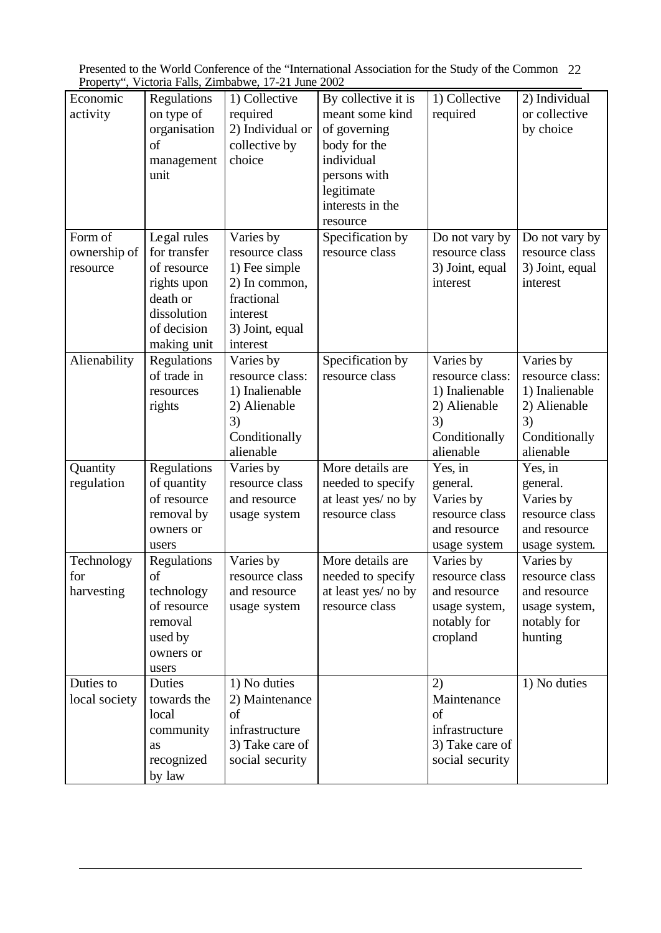| Presented to the World Conference of the "International Association for the Study of the Common 22 |  |
|----------------------------------------------------------------------------------------------------|--|
| Property", Victoria Falls, Zimbabwe, 17-21 June 2002                                               |  |

| Economic      | Regulations   | 1) Collective    | By collective it is | $\overline{1}$ ) Collective | 2) Individual   |
|---------------|---------------|------------------|---------------------|-----------------------------|-----------------|
| activity      | on type of    | required         | meant some kind     | required                    | or collective   |
|               | organisation  | 2) Individual or | of governing        |                             | by choice       |
|               | <sub>of</sub> | collective by    | body for the        |                             |                 |
|               | management    | choice           | individual          |                             |                 |
|               | unit          |                  | persons with        |                             |                 |
|               |               |                  | legitimate          |                             |                 |
|               |               |                  | interests in the    |                             |                 |
|               |               |                  |                     |                             |                 |
|               |               |                  | resource            |                             |                 |
| Form of       | Legal rules   | Varies by        | Specification by    | Do not vary by              | Do not vary by  |
| ownership of  | for transfer  | resource class   | resource class      | resource class              | resource class  |
| resource      | of resource   | 1) Fee simple    |                     | 3) Joint, equal             | 3) Joint, equal |
|               | rights upon   | 2) In common,    |                     | interest                    | interest        |
|               | death or      | fractional       |                     |                             |                 |
|               | dissolution   | interest         |                     |                             |                 |
|               | of decision   | 3) Joint, equal  |                     |                             |                 |
|               | making unit   | interest         |                     |                             |                 |
| Alienability  | Regulations   | Varies by        | Specification by    | Varies by                   | Varies by       |
|               | of trade in   | resource class:  | resource class      | resource class:             | resource class: |
|               | resources     | 1) Inalienable   |                     | 1) Inalienable              | 1) Inalienable  |
|               | rights        | 2) Alienable     |                     | 2) Alienable                | 2) Alienable    |
|               |               | 3)               |                     | 3)                          | 3)              |
|               |               | Conditionally    |                     | Conditionally               | Conditionally   |
|               |               | alienable        |                     | alienable                   | alienable       |
| Quantity      | Regulations   | Varies by        | More details are    | Yes, in                     | Yes, in         |
| regulation    | of quantity   | resource class   | needed to specify   | general.                    | general.        |
|               | of resource   |                  |                     |                             | Varies by       |
|               |               | and resource     | at least yes/ no by | Varies by                   | resource class  |
|               | removal by    | usage system     | resource class      | resource class              |                 |
|               | owners or     |                  |                     | and resource                | and resource    |
|               | users         |                  |                     | usage system                | usage system.   |
| Technology    | Regulations   | Varies by        | More details are    | Varies by                   | Varies by       |
| for           | of            | resource class   | needed to specify   | resource class              | resource class  |
| harvesting    | technology    | and resource     | at least yes/ no by | and resource                | and resource    |
|               | of resource   | usage system     | resource class      | usage system,               | usage system,   |
|               | removal       |                  |                     | notably for                 | notably for     |
|               | used by       |                  |                     | cropland                    | hunting         |
|               | owners or     |                  |                     |                             |                 |
|               | users         |                  |                     |                             |                 |
| Duties to     | Duties        | 1) No duties     |                     | 2)                          | 1) No duties    |
| local society | towards the   | 2) Maintenance   |                     | Maintenance                 |                 |
|               | local         | of               |                     | οf                          |                 |
|               | community     | infrastructure   |                     | infrastructure              |                 |
|               | as            | 3) Take care of  |                     | 3) Take care of             |                 |
|               | recognized    | social security  |                     | social security             |                 |
|               | by law        |                  |                     |                             |                 |
|               |               |                  |                     |                             |                 |